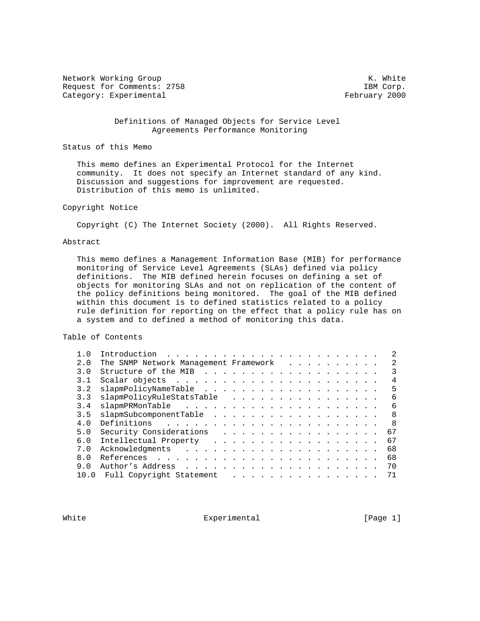Network Working Group Network Working Group Network White Request for Comments: 2758 IBM Corp. Category: Experimental experimental and the set of the February 2000

 Definitions of Managed Objects for Service Level Agreements Performance Monitoring

Status of this Memo

 This memo defines an Experimental Protocol for the Internet community. It does not specify an Internet standard of any kind. Discussion and suggestions for improvement are requested. Distribution of this memo is unlimited.

## Copyright Notice

Copyright (C) The Internet Society (2000). All Rights Reserved.

## Abstract

 This memo defines a Management Information Base (MIB) for performance monitoring of Service Level Agreements (SLAs) defined via policy definitions. The MIB defined herein focuses on defining a set of objects for monitoring SLAs and not on replication of the content of the policy definitions being monitored. The goal of the MIB defined within this document is to defined statistics related to a policy rule definition for reporting on the effect that a policy rule has on a system and to defined a method of monitoring this data.

Table of Contents

| 1.0  | Introduction<br>the contract of the contract of the contract of the contract of the contract of the contract of the contract of |  |  |               |  |  |  |  |  |                |
|------|---------------------------------------------------------------------------------------------------------------------------------|--|--|---------------|--|--|--|--|--|----------------|
| 2.0  | The SNMP Network Management Framework                                                                                           |  |  |               |  |  |  |  |  | $\mathfrak{D}$ |
| 3.0  |                                                                                                                                 |  |  |               |  |  |  |  |  |                |
| 3.1  |                                                                                                                                 |  |  |               |  |  |  |  |  | 4              |
| 3.2  |                                                                                                                                 |  |  |               |  |  |  |  |  | 5              |
| 3.3  | slapmPolicyRuleStatsTable                                                                                                       |  |  |               |  |  |  |  |  | 6              |
| 3.4  |                                                                                                                                 |  |  |               |  |  |  |  |  | 6              |
| 3.5  | slapmSubcomponentTable                                                                                                          |  |  |               |  |  |  |  |  | 8              |
| 4.0  |                                                                                                                                 |  |  |               |  |  |  |  |  | R              |
| 5.0  | Security Considerations (example 20 minutes) and the security Considerations (example 20 minutes)                               |  |  |               |  |  |  |  |  | 67             |
| 6.0  |                                                                                                                                 |  |  |               |  |  |  |  |  | 67             |
| 7.0  |                                                                                                                                 |  |  |               |  |  |  |  |  | 68             |
| 8.0  |                                                                                                                                 |  |  |               |  |  |  |  |  | 68             |
| 9.0  |                                                                                                                                 |  |  |               |  |  |  |  |  | 70             |
| 10.0 | Full Copyright Statement                                                                                                        |  |  | $\frac{1}{2}$ |  |  |  |  |  |                |
|      |                                                                                                                                 |  |  |               |  |  |  |  |  |                |

White **Experimental** Experimental [Page 1]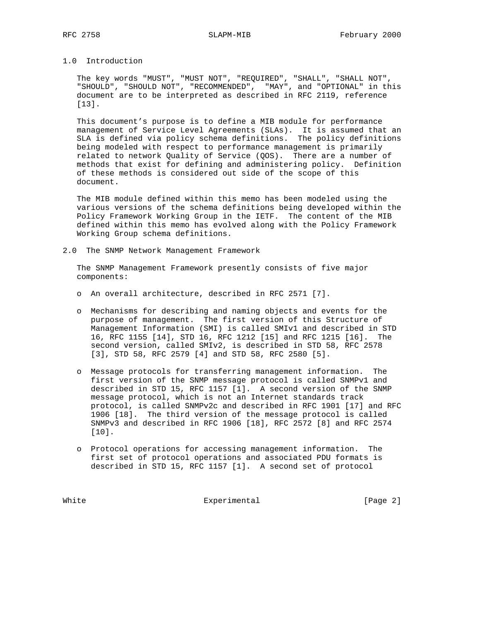# 1.0 Introduction

 The key words "MUST", "MUST NOT", "REQUIRED", "SHALL", "SHALL NOT", "SHOULD", "SHOULD NOT", "RECOMMENDED", "MAY", and "OPTIONAL" in this document are to be interpreted as described in RFC 2119, reference [13].

 This document's purpose is to define a MIB module for performance management of Service Level Agreements (SLAs). It is assumed that an SLA is defined via policy schema definitions. The policy definitions being modeled with respect to performance management is primarily related to network Quality of Service (QOS). There are a number of methods that exist for defining and administering policy. Definition of these methods is considered out side of the scope of this document.

 The MIB module defined within this memo has been modeled using the various versions of the schema definitions being developed within the Policy Framework Working Group in the IETF. The content of the MIB defined within this memo has evolved along with the Policy Framework Working Group schema definitions.

2.0 The SNMP Network Management Framework

 The SNMP Management Framework presently consists of five major components:

- o An overall architecture, described in RFC 2571 [7].
- o Mechanisms for describing and naming objects and events for the purpose of management. The first version of this Structure of Management Information (SMI) is called SMIv1 and described in STD 16, RFC 1155 [14], STD 16, RFC 1212 [15] and RFC 1215 [16]. The second version, called SMIv2, is described in STD 58, RFC 2578 [3], STD 58, RFC 2579 [4] and STD 58, RFC 2580 [5].
- o Message protocols for transferring management information. The first version of the SNMP message protocol is called SNMPv1 and described in STD 15, RFC 1157 [1]. A second version of the SNMP message protocol, which is not an Internet standards track protocol, is called SNMPv2c and described in RFC 1901 [17] and RFC 1906 [18]. The third version of the message protocol is called SNMPv3 and described in RFC 1906 [18], RFC 2572 [8] and RFC 2574 [10].
- o Protocol operations for accessing management information. The first set of protocol operations and associated PDU formats is described in STD 15, RFC 1157 [1]. A second set of protocol

White Experimental Experimental [Page 2]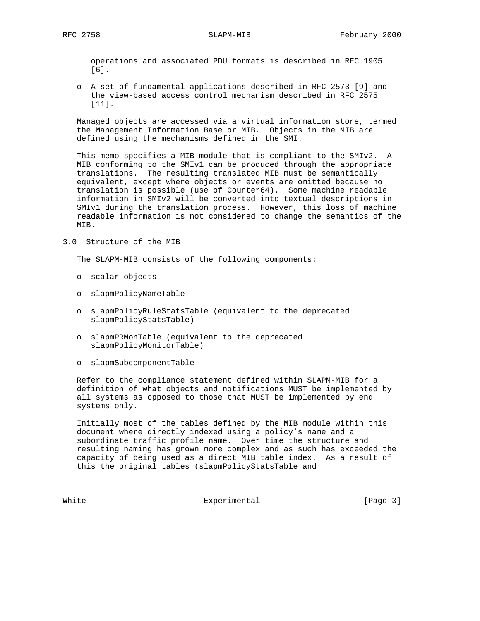operations and associated PDU formats is described in RFC 1905 [6].

 o A set of fundamental applications described in RFC 2573 [9] and the view-based access control mechanism described in RFC 2575 [11].

 Managed objects are accessed via a virtual information store, termed the Management Information Base or MIB. Objects in the MIB are defined using the mechanisms defined in the SMI.

 This memo specifies a MIB module that is compliant to the SMIv2. A MIB conforming to the SMIv1 can be produced through the appropriate translations. The resulting translated MIB must be semantically equivalent, except where objects or events are omitted because no translation is possible (use of Counter64). Some machine readable information in SMIv2 will be converted into textual descriptions in SMIv1 during the translation process. However, this loss of machine readable information is not considered to change the semantics of the MIB.

3.0 Structure of the MIB

The SLAPM-MIB consists of the following components:

- o scalar objects
- o slapmPolicyNameTable
- o slapmPolicyRuleStatsTable (equivalent to the deprecated slapmPolicyStatsTable)
- o slapmPRMonTable (equivalent to the deprecated slapmPolicyMonitorTable)
- o slapmSubcomponentTable

 Refer to the compliance statement defined within SLAPM-MIB for a definition of what objects and notifications MUST be implemented by all systems as opposed to those that MUST be implemented by end systems only.

 Initially most of the tables defined by the MIB module within this document where directly indexed using a policy's name and a subordinate traffic profile name. Over time the structure and resulting naming has grown more complex and as such has exceeded the capacity of being used as a direct MIB table index. As a result of this the original tables (slapmPolicyStatsTable and

White Experimental Experimental [Page 3]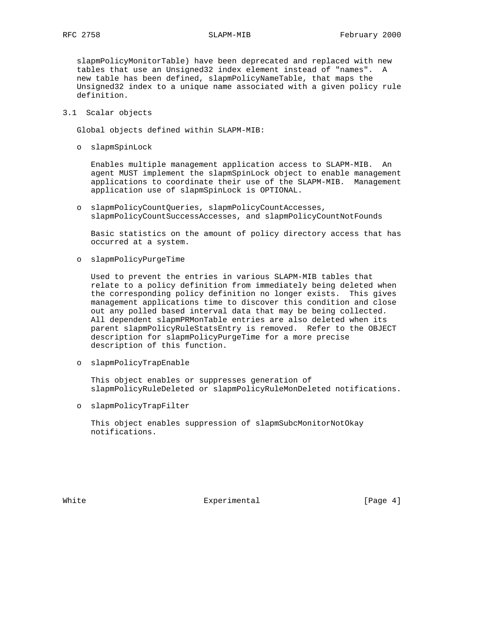slapmPolicyMonitorTable) have been deprecated and replaced with new tables that use an Unsigned32 index element instead of "names". A new table has been defined, slapmPolicyNameTable, that maps the Unsigned32 index to a unique name associated with a given policy rule definition.

3.1 Scalar objects

Global objects defined within SLAPM-MIB:

o slapmSpinLock

 Enables multiple management application access to SLAPM-MIB. An agent MUST implement the slapmSpinLock object to enable management applications to coordinate their use of the SLAPM-MIB. Management application use of slapmSpinLock is OPTIONAL.

 o slapmPolicyCountQueries, slapmPolicyCountAccesses, slapmPolicyCountSuccessAccesses, and slapmPolicyCountNotFounds

 Basic statistics on the amount of policy directory access that has occurred at a system.

o slapmPolicyPurgeTime

 Used to prevent the entries in various SLAPM-MIB tables that relate to a policy definition from immediately being deleted when the corresponding policy definition no longer exists. This gives management applications time to discover this condition and close out any polled based interval data that may be being collected. All dependent slapmPRMonTable entries are also deleted when its parent slapmPolicyRuleStatsEntry is removed. Refer to the OBJECT description for slapmPolicyPurgeTime for a more precise description of this function.

o slapmPolicyTrapEnable

 This object enables or suppresses generation of slapmPolicyRuleDeleted or slapmPolicyRuleMonDeleted notifications.

o slapmPolicyTrapFilter

 This object enables suppression of slapmSubcMonitorNotOkay notifications.

White **Experimental** Experimental [Page 4]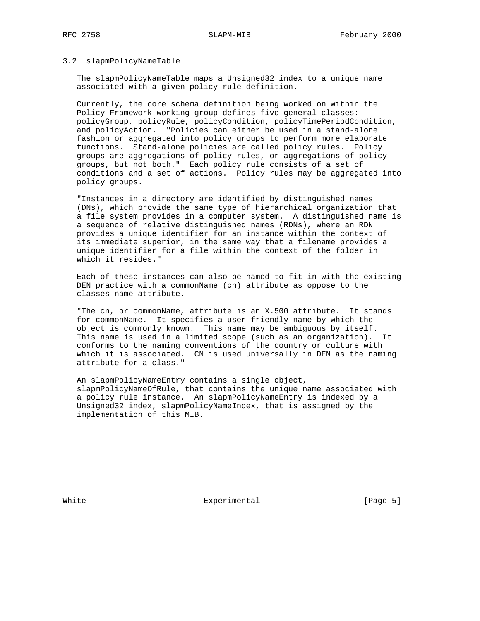### 3.2 slapmPolicyNameTable

 The slapmPolicyNameTable maps a Unsigned32 index to a unique name associated with a given policy rule definition.

 Currently, the core schema definition being worked on within the Policy Framework working group defines five general classes: policyGroup, policyRule, policyCondition, policyTimePeriodCondition, and policyAction. "Policies can either be used in a stand-alone fashion or aggregated into policy groups to perform more elaborate functions. Stand-alone policies are called policy rules. Policy groups are aggregations of policy rules, or aggregations of policy groups, but not both." Each policy rule consists of a set of conditions and a set of actions. Policy rules may be aggregated into policy groups.

 "Instances in a directory are identified by distinguished names (DNs), which provide the same type of hierarchical organization that a file system provides in a computer system. A distinguished name is a sequence of relative distinguished names (RDNs), where an RDN provides a unique identifier for an instance within the context of its immediate superior, in the same way that a filename provides a unique identifier for a file within the context of the folder in which it resides."

 Each of these instances can also be named to fit in with the existing DEN practice with a commonName (cn) attribute as oppose to the classes name attribute.

 "The cn, or commonName, attribute is an X.500 attribute. It stands for commonName. It specifies a user-friendly name by which the object is commonly known. This name may be ambiguous by itself. This name is used in a limited scope (such as an organization). It conforms to the naming conventions of the country or culture with which it is associated. CN is used universally in DEN as the naming attribute for a class."

 An slapmPolicyNameEntry contains a single object, slapmPolicyNameOfRule, that contains the unique name associated with a policy rule instance. An slapmPolicyNameEntry is indexed by a Unsigned32 index, slapmPolicyNameIndex, that is assigned by the implementation of this MIB.

White **Experimental** Experimental [Page 5]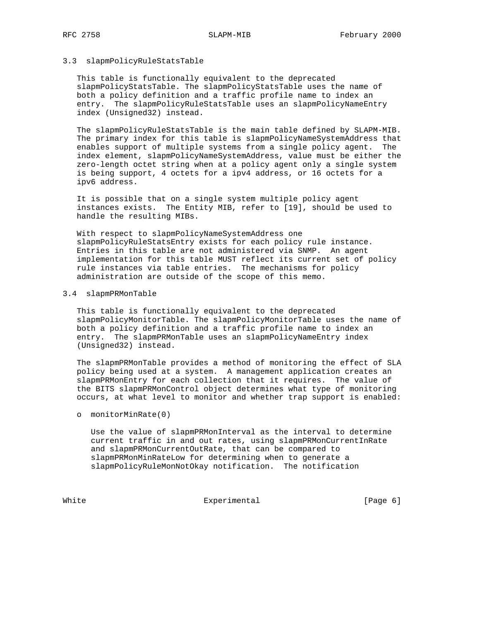### 3.3 slapmPolicyRuleStatsTable

 This table is functionally equivalent to the deprecated slapmPolicyStatsTable. The slapmPolicyStatsTable uses the name of both a policy definition and a traffic profile name to index an entry. The slapmPolicyRuleStatsTable uses an slapmPolicyNameEntry index (Unsigned32) instead.

 The slapmPolicyRuleStatsTable is the main table defined by SLAPM-MIB. The primary index for this table is slapmPolicyNameSystemAddress that enables support of multiple systems from a single policy agent. The index element, slapmPolicyNameSystemAddress, value must be either the zero-length octet string when at a policy agent only a single system is being support, 4 octets for a ipv4 address, or 16 octets for a ipv6 address.

 It is possible that on a single system multiple policy agent instances exists. The Entity MIB, refer to [19], should be used to handle the resulting MIBs.

 With respect to slapmPolicyNameSystemAddress one slapmPolicyRuleStatsEntry exists for each policy rule instance. Entries in this table are not administered via SNMP. An agent implementation for this table MUST reflect its current set of policy rule instances via table entries. The mechanisms for policy administration are outside of the scope of this memo.

### 3.4 slapmPRMonTable

 This table is functionally equivalent to the deprecated slapmPolicyMonitorTable. The slapmPolicyMonitorTable uses the name of both a policy definition and a traffic profile name to index an entry. The slapmPRMonTable uses an slapmPolicyNameEntry index (Unsigned32) instead.

 The slapmPRMonTable provides a method of monitoring the effect of SLA policy being used at a system. A management application creates an slapmPRMonEntry for each collection that it requires. The value of the BITS slapmPRMonControl object determines what type of monitoring occurs, at what level to monitor and whether trap support is enabled:

o monitorMinRate(0)

 Use the value of slapmPRMonInterval as the interval to determine current traffic in and out rates, using slapmPRMonCurrentInRate and slapmPRMonCurrentOutRate, that can be compared to slapmPRMonMinRateLow for determining when to generate a slapmPolicyRuleMonNotOkay notification. The notification

White Experimental Experimental [Page 6]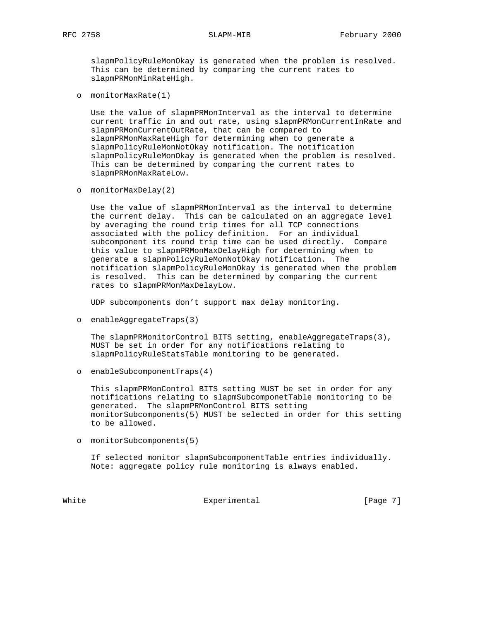slapmPolicyRuleMonOkay is generated when the problem is resolved. This can be determined by comparing the current rates to slapmPRMonMinRateHigh.

o monitorMaxRate(1)

 Use the value of slapmPRMonInterval as the interval to determine current traffic in and out rate, using slapmPRMonCurrentInRate and slapmPRMonCurrentOutRate, that can be compared to slapmPRMonMaxRateHigh for determining when to generate a slapmPolicyRuleMonNotOkay notification. The notification slapmPolicyRuleMonOkay is generated when the problem is resolved. This can be determined by comparing the current rates to slapmPRMonMaxRateLow.

o monitorMaxDelay(2)

 Use the value of slapmPRMonInterval as the interval to determine the current delay. This can be calculated on an aggregate level by averaging the round trip times for all TCP connections associated with the policy definition. For an individual subcomponent its round trip time can be used directly. Compare this value to slapmPRMonMaxDelayHigh for determining when to generate a slapmPolicyRuleMonNotOkay notification. The notification slapmPolicyRuleMonOkay is generated when the problem is resolved. This can be determined by comparing the current rates to slapmPRMonMaxDelayLow.

UDP subcomponents don't support max delay monitoring.

o enableAggregateTraps(3)

 The slapmPRMonitorControl BITS setting, enableAggregateTraps(3), MUST be set in order for any notifications relating to slapmPolicyRuleStatsTable monitoring to be generated.

o enableSubcomponentTraps(4)

 This slapmPRMonControl BITS setting MUST be set in order for any notifications relating to slapmSubcomponetTable monitoring to be generated. The slapmPRMonControl BITS setting monitorSubcomponents(5) MUST be selected in order for this setting to be allowed.

o monitorSubcomponents(5)

 If selected monitor slapmSubcomponentTable entries individually. Note: aggregate policy rule monitoring is always enabled.

White Experimental Experimental [Page 7]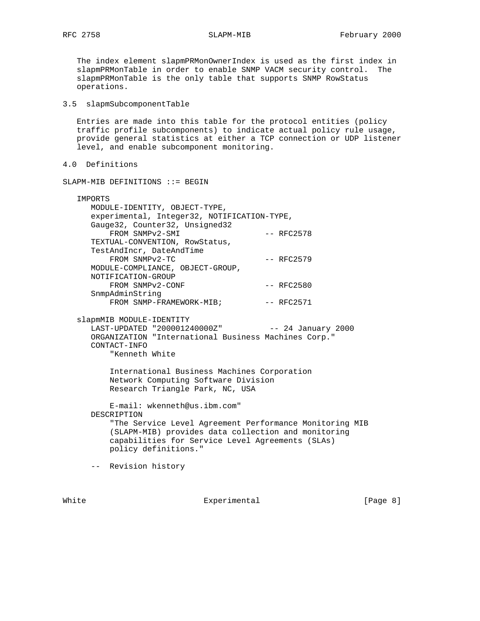The index element slapmPRMonOwnerIndex is used as the first index in slapmPRMonTable in order to enable SNMP VACM security control. The slapmPRMonTable is the only table that supports SNMP RowStatus operations.

3.5 slapmSubcomponentTable

 Entries are made into this table for the protocol entities (policy traffic profile subcomponents) to indicate actual policy rule usage, provide general statistics at either a TCP connection or UDP listener level, and enable subcomponent monitoring.

```
4.0 Definitions
```
SLAPM-MIB DEFINITIONS ::= BEGIN

|                                             | IMPORTS                                                 |                      |  |  |  |  |
|---------------------------------------------|---------------------------------------------------------|----------------------|--|--|--|--|
|                                             | MODULE-IDENTITY, OBJECT-TYPE,                           |                      |  |  |  |  |
| experimental, Integer32, NOTIFICATION-TYPE, |                                                         |                      |  |  |  |  |
|                                             | Gauge32, Counter32, Unsigned32                          |                      |  |  |  |  |
|                                             | FROM SNMPv2-SMI                                         | $--$ RFC2578         |  |  |  |  |
|                                             | TEXTUAL-CONVENTION, RowStatus,                          |                      |  |  |  |  |
|                                             | TestAndIncr, DateAndTime                                |                      |  |  |  |  |
|                                             | FROM SNMPv2-TC                                          | $--$ RFC2579         |  |  |  |  |
|                                             | MODULE-COMPLIANCE, OBJECT-GROUP,                        |                      |  |  |  |  |
|                                             | NOTIFICATION-GROUP                                      |                      |  |  |  |  |
|                                             | FROM SNMPv2-CONF                                        | $--$ RFC2580         |  |  |  |  |
|                                             | SnmpAdminString                                         |                      |  |  |  |  |
|                                             | FROM SNMP-FRAMEWORK-MIB;                                | -- RFC2571           |  |  |  |  |
|                                             |                                                         |                      |  |  |  |  |
|                                             | slapmMIB MODULE-IDENTITY                                |                      |  |  |  |  |
|                                             | LAST-UPDATED "200001240000Z"                            | $--$ 24 January 2000 |  |  |  |  |
|                                             | ORGANIZATION "International Business Machines Corp."    |                      |  |  |  |  |
|                                             | CONTACT-INFO                                            |                      |  |  |  |  |
|                                             | "Kenneth White                                          |                      |  |  |  |  |
|                                             |                                                         |                      |  |  |  |  |
|                                             | International Business Machines Corporation             |                      |  |  |  |  |
|                                             | Network Computing Software Division                     |                      |  |  |  |  |
|                                             | Research Triangle Park, NC, USA                         |                      |  |  |  |  |
|                                             |                                                         |                      |  |  |  |  |
|                                             | E-mail: wkenneth@us.ibm.com"                            |                      |  |  |  |  |
|                                             | DESCRIPTION                                             |                      |  |  |  |  |
|                                             | "The Service Level Agreement Performance Monitoring MIB |                      |  |  |  |  |
|                                             | (SLAPM-MIB) provides data collection and monitoring     |                      |  |  |  |  |
|                                             | capabilities for Service Level Agreements (SLAs)        |                      |  |  |  |  |
|                                             |                                                         |                      |  |  |  |  |

policy definitions."

-- Revision history

White Experimental Experimental [Page 8]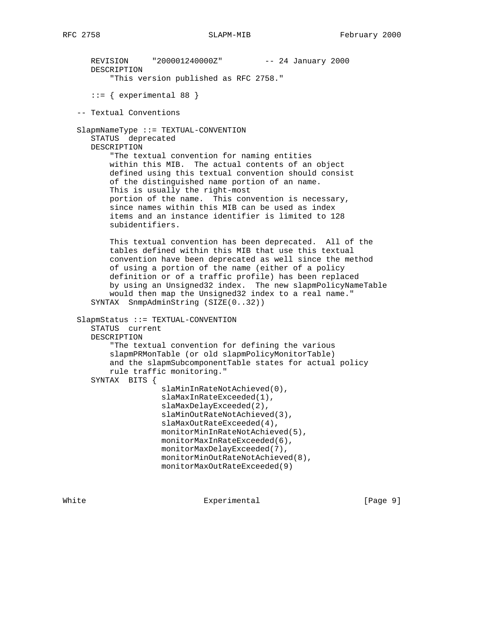```
 REVISION "200001240000Z" -- 24 January 2000
   DESCRIPTION
        "This version published as RFC 2758."
   ::= { experimental 88 }
 -- Textual Conventions
 SlapmNameType ::= TEXTUAL-CONVENTION
    STATUS deprecated
   DESCRIPTION
        "The textual convention for naming entities
        within this MIB. The actual contents of an object
        defined using this textual convention should consist
        of the distinguished name portion of an name.
        This is usually the right-most
       portion of the name. This convention is necessary,
        since names within this MIB can be used as index
       items and an instance identifier is limited to 128
        subidentifiers.
        This textual convention has been deprecated. All of the
       tables defined within this MIB that use this textual
        convention have been deprecated as well since the method
        of using a portion of the name (either of a policy
        definition or of a traffic profile) has been replaced
        by using an Unsigned32 index. The new slapmPolicyNameTable
        would then map the Unsigned32 index to a real name."
    SYNTAX SnmpAdminString (SIZE(0..32))
 SlapmStatus ::= TEXTUAL-CONVENTION
    STATUS current
   DESCRIPTION
        "The textual convention for defining the various
        slapmPRMonTable (or old slapmPolicyMonitorTable)
        and the slapmSubcomponentTable states for actual policy
        rule traffic monitoring."
    SYNTAX BITS {
                   slaMinInRateNotAchieved(0),
                   slaMaxInRateExceeded(1),
                   slaMaxDelayExceeded(2),
                   slaMinOutRateNotAchieved(3),
                   slaMaxOutRateExceeded(4),
                   monitorMinInRateNotAchieved(5),
                   monitorMaxInRateExceeded(6),
                   monitorMaxDelayExceeded(7),
                   monitorMinOutRateNotAchieved(8),
                   monitorMaxOutRateExceeded(9)
```
White **Experimental** Experimental **Experimental** [Page 9]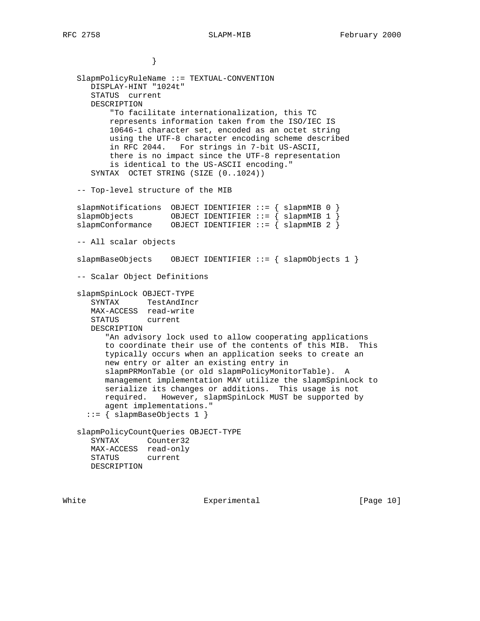} SlapmPolicyRuleName ::= TEXTUAL-CONVENTION DISPLAY-HINT "1024t" STATUS current DESCRIPTION "To facilitate internationalization, this TC represents information taken from the ISO/IEC IS 10646-1 character set, encoded as an octet string using the UTF-8 character encoding scheme described in RFC 2044. For strings in 7-bit US-ASCII, there is no impact since the UTF-8 representation is identical to the US-ASCII encoding." SYNTAX OCTET STRING (SIZE (0..1024)) -- Top-level structure of the MIB slapmNotifications OBJECT IDENTIFIER ::= { slapmMIB 0 } slapmObjects OBJECT IDENTIFIER ::= { slapmMIB 1 } slapmConformance OBJECT IDENTIFIER ::= { slapmMIB 2 } -- All scalar objects slapmBaseObjects OBJECT IDENTIFIER ::= { slapmObjects 1 } -- Scalar Object Definitions slapmSpinLock OBJECT-TYPE SYNTAX TestAndIncr MAX-ACCESS read-write STATUS current DESCRIPTION "An advisory lock used to allow cooperating applications to coordinate their use of the contents of this MIB. This typically occurs when an application seeks to create an new entry or alter an existing entry in slapmPRMonTable (or old slapmPolicyMonitorTable). A management implementation MAY utilize the slapmSpinLock to serialize its changes or additions. This usage is not required. However, slapmSpinLock MUST be supported by agent implementations." ::= { slapmBaseObjects 1 } slapmPolicyCountQueries OBJECT-TYPE SYNTAX Counter32 MAX-ACCESS read-only STATUS current

DESCRIPTION

White Experimental Experimental [Page 10]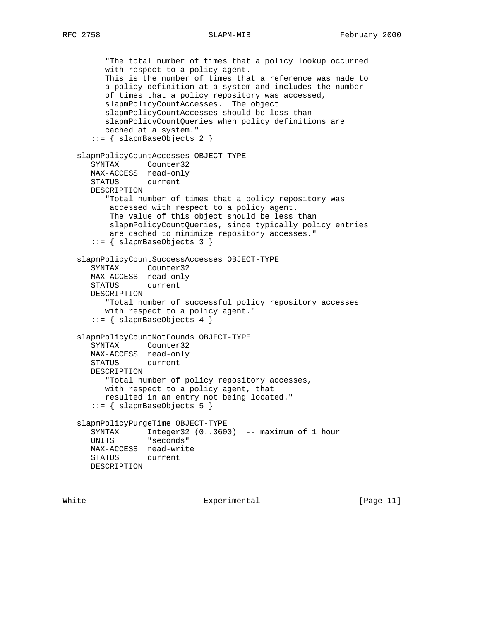```
 "The total number of times that a policy lookup occurred
      with respect to a policy agent.
      This is the number of times that a reference was made to
      a policy definition at a system and includes the number
      of times that a policy repository was accessed,
      slapmPolicyCountAccesses. The object
      slapmPolicyCountAccesses should be less than
      slapmPolicyCountQueries when policy definitions are
      cached at a system."
    ::= { slapmBaseObjects 2 }
 slapmPolicyCountAccesses OBJECT-TYPE
    SYNTAX Counter32
   MAX-ACCESS read-only
    STATUS current
   DESCRIPTION
       "Total number of times that a policy repository was
       accessed with respect to a policy agent.
       The value of this object should be less than
       slapmPolicyCountQueries, since typically policy entries
       are cached to minimize repository accesses."
    ::= { slapmBaseObjects 3 }
 slapmPolicyCountSuccessAccesses OBJECT-TYPE
    SYNTAX Counter32
   MAX-ACCESS read-only
   STATUS current
    DESCRIPTION
       "Total number of successful policy repository accesses
      with respect to a policy agent."
    ::= { slapmBaseObjects 4 }
 slapmPolicyCountNotFounds OBJECT-TYPE
    SYNTAX Counter32
   MAX-ACCESS read-only
   STATUS current
   DESCRIPTION
      "Total number of policy repository accesses,
      with respect to a policy agent, that
      resulted in an entry not being located."
    ::= { slapmBaseObjects 5 }
 slapmPolicyPurgeTime OBJECT-TYPE
   SYNTAX Integer32 (0..3600) -- maximum of 1 hour
   UNITS "seconds"
   MAX-ACCESS read-write
   STATUS current
   DESCRIPTION
```
White Experimental Experimental [Page 11]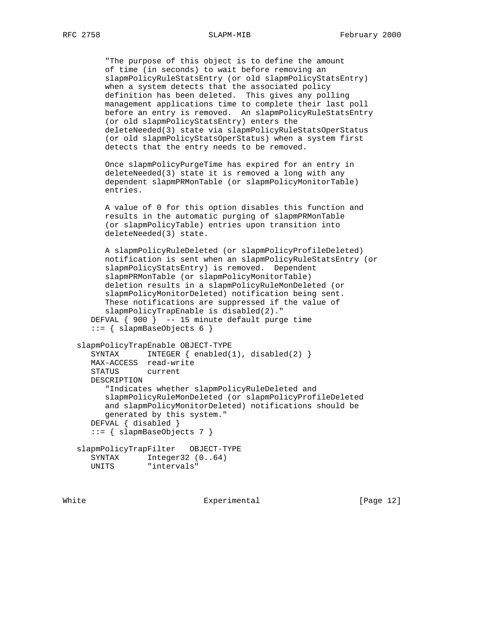"The purpose of this object is to define the amount of time (in seconds) to wait before removing an slapmPolicyRuleStatsEntry (or old slapmPolicyStatsEntry) when a system detects that the associated policy definition has been deleted. This gives any polling management applications time to complete their last poll before an entry is removed. An slapmPolicyRuleStatsEntry (or old slapmPolicyStatsEntry) enters the deleteNeeded(3) state via slapmPolicyRuleStatsOperStatus (or old slapmPolicyStatsOperStatus) when a system first detects that the entry needs to be removed.

 Once slapmPolicyPurgeTime has expired for an entry in deleteNeeded(3) state it is removed a long with any dependent slapmPRMonTable (or slapmPolicyMonitorTable) entries.

 A value of 0 for this option disables this function and results in the automatic purging of slapmPRMonTable (or slapmPolicyTable) entries upon transition into deleteNeeded(3) state.

 A slapmPolicyRuleDeleted (or slapmPolicyProfileDeleted) notification is sent when an slapmPolicyRuleStatsEntry (or slapmPolicyStatsEntry) is removed. Dependent slapmPRMonTable (or slapmPolicyMonitorTable) deletion results in a slapmPolicyRuleMonDeleted (or slapmPolicyMonitorDeleted) notification being sent. These notifications are suppressed if the value of slapmPolicyTrapEnable is disabled(2)." DEFVAL { 900 } -- 15 minute default purge time  $::=$  { slapmBaseObjects 6 }

```
 slapmPolicyTrapEnable OBJECT-TYPE
   SYNTAX INTEGER { enabled(1), disabled(2) }
   MAX-ACCESS read-write
   STATUS current
   DESCRIPTION
       "Indicates whether slapmPolicyRuleDeleted and
      slapmPolicyRuleMonDeleted (or slapmPolicyProfileDeleted
      and slapmPolicyMonitorDeleted) notifications should be
      generated by this system."
   DEFVAL { disabled }
    ::= { slapmBaseObjects 7 }
 slapmPolicyTrapFilter OBJECT-TYPE
   SYNTAX Integer32 (0..64)
  UNITS "intervals"
```
White Experimental [Page 12]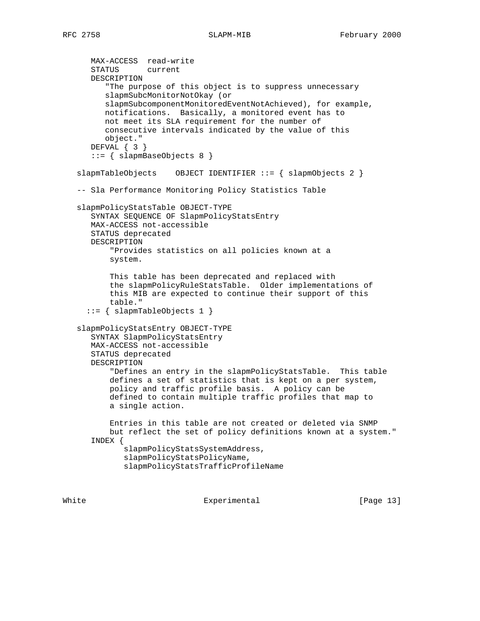MAX-ACCESS read-write STATUS current DESCRIPTION "The purpose of this object is to suppress unnecessary slapmSubcMonitorNotOkay (or slapmSubcomponentMonitoredEventNotAchieved), for example, notifications. Basically, a monitored event has to not meet its SLA requirement for the number of consecutive intervals indicated by the value of this object." DEFVAL { 3 } ::= { slapmBaseObjects 8 } slapmTableObjects OBJECT IDENTIFIER ::= { slapmObjects 2 } -- Sla Performance Monitoring Policy Statistics Table slapmPolicyStatsTable OBJECT-TYPE SYNTAX SEQUENCE OF SlapmPolicyStatsEntry MAX-ACCESS not-accessible STATUS deprecated DESCRIPTION "Provides statistics on all policies known at a system. This table has been deprecated and replaced with the slapmPolicyRuleStatsTable. Older implementations of this MIB are expected to continue their support of this table." ::= { slapmTableObjects 1 } slapmPolicyStatsEntry OBJECT-TYPE SYNTAX SlapmPolicyStatsEntry MAX-ACCESS not-accessible STATUS deprecated DESCRIPTION "Defines an entry in the slapmPolicyStatsTable. This table defines a set of statistics that is kept on a per system, policy and traffic profile basis. A policy can be defined to contain multiple traffic profiles that map to a single action. Entries in this table are not created or deleted via SNMP but reflect the set of policy definitions known at a system." INDEX { slapmPolicyStatsSystemAddress, slapmPolicyStatsPolicyName, slapmPolicyStatsTrafficProfileName

White Experimental [Page 13]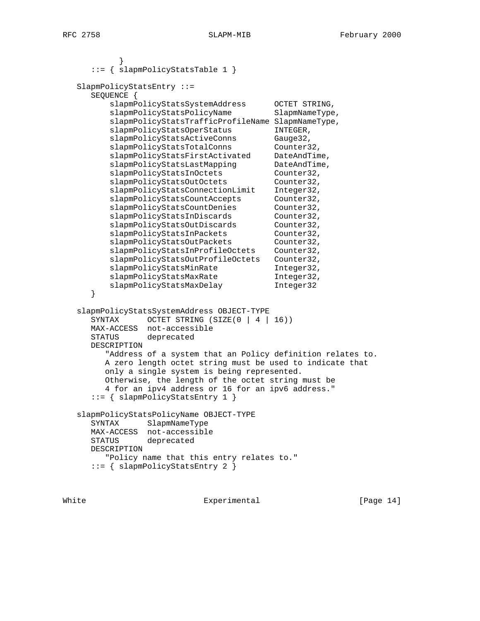```
 }
      ::= { slapmPolicyStatsTable 1 }
   SlapmPolicyStatsEntry ::=
      SEQUENCE {
         slapmPolicyStatsSystemAddress OCTET STRING,
         slapmPolicyStatsPolicyName SlapmNameType,
          slapmPolicyStatsTrafficProfileName SlapmNameType,
         slapmPolicyStatsOperStatus INTEGER,
         slapmPolicyStatsActiveConns Gauge32,
slapmPolicyStatsTotalConns Counter32,
 slapmPolicyStatsFirstActivated DateAndTime,
         slapmPolicyStatsLastMapping DateAndTime,
         slapmPolicyStatsInOctets Counter32,
         slapmPolicyStatsOutOctets Counter32,
         slapmPolicyStatsConnectionLimit Integer32,
         slapmPolicyStatsCountAccepts Counter32,
         slapmPolicyStatsCountDenies Counter32,
         slapmPolicyStatsInDiscards Counter32,
         slapmPolicyStatsOutDiscards Counter32,
         slapmPolicyStatsInPackets Counter32,
         slapmPolicyStatsOutPackets Counter32,
          slapmPolicyStatsInProfileOctets Counter32,
         slapmPolicyStatsOutProfileOctets Counter32,<br>slapmPolicyStatsMinRate Integer32,
         slapmPolicyStatsMinRate
         slapmPolicyStatsMaxRate Integer32,<br>slapmPolicyStatsMaxDelay Integer32
         slapmPolicyStatsMaxDelay
      }
   slapmPolicyStatsSystemAddress OBJECT-TYPE
     SYNTAX OCTET STRING (SIZE(0 | 4 | 16))
      MAX-ACCESS not-accessible
      STATUS deprecated
      DESCRIPTION
         "Address of a system that an Policy definition relates to.
         A zero length octet string must be used to indicate that
         only a single system is being represented.
         Otherwise, the length of the octet string must be
         4 for an ipv4 address or 16 for an ipv6 address."
      ::= { slapmPolicyStatsEntry 1 }
   slapmPolicyStatsPolicyName OBJECT-TYPE
      SYNTAX SlapmNameType
      MAX-ACCESS not-accessible
      STATUS deprecated
      DESCRIPTION
         "Policy name that this entry relates to."
      ::= { slapmPolicyStatsEntry 2 }
```
White Experimental Experimental [Page 14]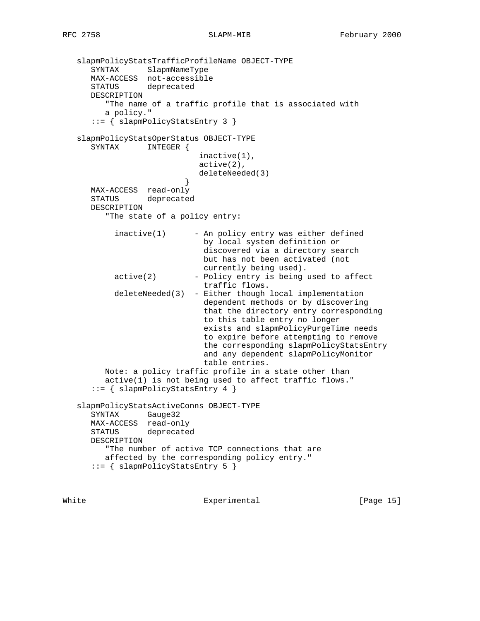```
 slapmPolicyStatsTrafficProfileName OBJECT-TYPE
 SYNTAX SlapmNameType
 MAX-ACCESS not-accessible
      STATUS deprecated
      DESCRIPTION
         "The name of a traffic profile that is associated with
         a policy."
      ::= { slapmPolicyStatsEntry 3 }
   slapmPolicyStatsOperStatus OBJECT-TYPE
      SYNTAX INTEGER {
                             inactive(1),
                             active(2),
                             deleteNeeded(3)
 }
      MAX-ACCESS read-only
      STATUS deprecated
      DESCRIPTION
         "The state of a policy entry:
          inactive(1) - An policy entry was either defined
                              by local system definition or
                              discovered via a directory search
                              but has not been activated (not
                              currently being used).
          active(2) - Policy entry is being used to affect
                              traffic flows.
           deleteNeeded(3) - Either though local implementation
                              dependent methods or by discovering
                              that the directory entry corresponding
                              to this table entry no longer
                              exists and slapmPolicyPurgeTime needs
                              to expire before attempting to remove
                              the corresponding slapmPolicyStatsEntry
                              and any dependent slapmPolicyMonitor
                              table entries.
         Note: a policy traffic profile in a state other than
         active(1) is not being used to affect traffic flows."
      ::= { slapmPolicyStatsEntry 4 }
   slapmPolicyStatsActiveConns OBJECT-TYPE
      SYNTAX Gauge32
      MAX-ACCESS read-only
      STATUS deprecated
      DESCRIPTION
         "The number of active TCP connections that are
         affected by the corresponding policy entry."
      ::= { slapmPolicyStatsEntry 5 }
```
White Experimental [Page 15]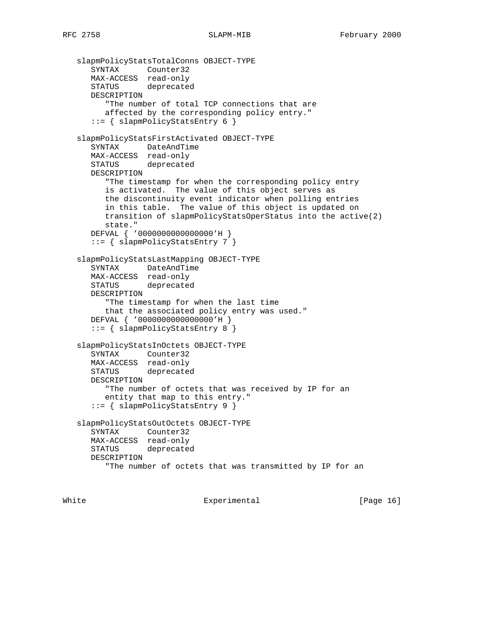```
 slapmPolicyStatsTotalConns OBJECT-TYPE
 SYNTAX Counter32
 MAX-ACCESS read-only
      STATUS deprecated
      DESCRIPTION
         "The number of total TCP connections that are
         affected by the corresponding policy entry."
      ::= { slapmPolicyStatsEntry 6 }
   slapmPolicyStatsFirstActivated OBJECT-TYPE
      SYNTAX DateAndTime
      MAX-ACCESS read-only
      STATUS deprecated
      DESCRIPTION
         "The timestamp for when the corresponding policy entry
         is activated. The value of this object serves as
         the discontinuity event indicator when polling entries
         in this table. The value of this object is updated on
         transition of slapmPolicyStatsOperStatus into the active(2)
         state."
      DEFVAL { '0000000000000000'H }
      ::= { slapmPolicyStatsEntry 7 }
   slapmPolicyStatsLastMapping OBJECT-TYPE
      SYNTAX DateAndTime
      MAX-ACCESS read-only
      STATUS deprecated
      DESCRIPTION
         "The timestamp for when the last time
         that the associated policy entry was used."
      DEFVAL { '0000000000000000'H }
      ::= { slapmPolicyStatsEntry 8 }
   slapmPolicyStatsInOctets OBJECT-TYPE
      SYNTAX Counter32
      MAX-ACCESS read-only
      STATUS deprecated
      DESCRIPTION
         "The number of octets that was received by IP for an
         entity that map to this entry."
      ::= { slapmPolicyStatsEntry 9 }
   slapmPolicyStatsOutOctets OBJECT-TYPE
      SYNTAX Counter32
      MAX-ACCESS read-only
      STATUS deprecated
      DESCRIPTION
         "The number of octets that was transmitted by IP for an
```
White Experimental Experimental [Page 16]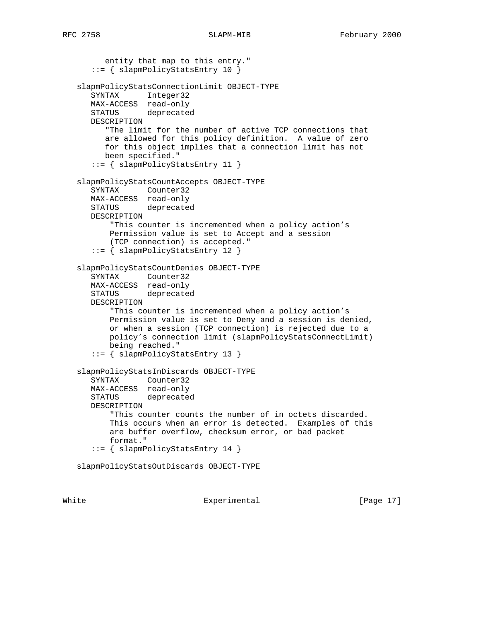```
 entity that map to this entry."
       ::= { slapmPolicyStatsEntry 10 }
   slapmPolicyStatsConnectionLimit OBJECT-TYPE
      SYNTAX Integer32
      MAX-ACCESS read-only
      STATUS deprecated
      DESCRIPTION
         "The limit for the number of active TCP connections that
         are allowed for this policy definition. A value of zero
         for this object implies that a connection limit has not
         been specified."
      ::= { slapmPolicyStatsEntry 11 }
   slapmPolicyStatsCountAccepts OBJECT-TYPE
      SYNTAX Counter32
      MAX-ACCESS read-only
      STATUS deprecated
      DESCRIPTION
          "This counter is incremented when a policy action's
          Permission value is set to Accept and a session
          (TCP connection) is accepted."
      ::= { slapmPolicyStatsEntry 12 }
   slapmPolicyStatsCountDenies OBJECT-TYPE
 SYNTAX Counter32
 MAX-ACCESS read-only
      STATUS deprecated
      DESCRIPTION
          "This counter is incremented when a policy action's
          Permission value is set to Deny and a session is denied,
          or when a session (TCP connection) is rejected due to a
          policy's connection limit (slapmPolicyStatsConnectLimit)
          being reached."
       ::= { slapmPolicyStatsEntry 13 }
   slapmPolicyStatsInDiscards OBJECT-TYPE
      SYNTAX Counter32
      MAX-ACCESS read-only
      STATUS deprecated
      DESCRIPTION
          "This counter counts the number of in octets discarded.
          This occurs when an error is detected. Examples of this
          are buffer overflow, checksum error, or bad packet
          format."
       ::= { slapmPolicyStatsEntry 14 }
   slapmPolicyStatsOutDiscards OBJECT-TYPE
```
White Experimental Experimental [Page 17]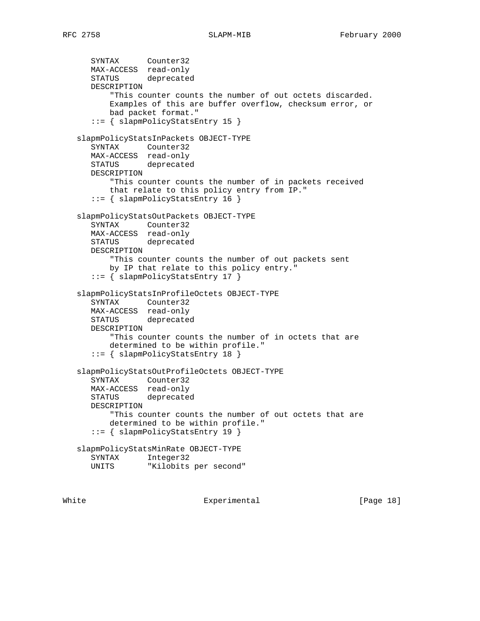SYNTAX Counter32 MAX-ACCESS read-only STATUS deprecated DESCRIPTION "This counter counts the number of out octets discarded. Examples of this are buffer overflow, checksum error, or bad packet format." ::= { slapmPolicyStatsEntry 15 } slapmPolicyStatsInPackets OBJECT-TYPE SYNTAX Counter32 MAX-ACCESS read-only STATUS deprecated DESCRIPTION "This counter counts the number of in packets received that relate to this policy entry from IP." ::= { slapmPolicyStatsEntry 16 } slapmPolicyStatsOutPackets OBJECT-TYPE SYNTAX Counter32 MAX-ACCESS read-only STATUS deprecated DESCRIPTION "This counter counts the number of out packets sent by IP that relate to this policy entry." ::= { slapmPolicyStatsEntry 17 } slapmPolicyStatsInProfileOctets OBJECT-TYPE SYNTAX Counter32 MAX-ACCESS read-only STATUS deprecated DESCRIPTION "This counter counts the number of in octets that are determined to be within profile." ::= { slapmPolicyStatsEntry 18 } slapmPolicyStatsOutProfileOctets OBJECT-TYPE SYNTAX Counter32 MAX-ACCESS read-only STATUS deprecated DESCRIPTION "This counter counts the number of out octets that are determined to be within profile." ::= { slapmPolicyStatsEntry 19 } slapmPolicyStatsMinRate OBJECT-TYPE SYNTAX Integer32<br>UNITS "Kilobits "Kilobits per second"

White Experimental Experimental [Page 18]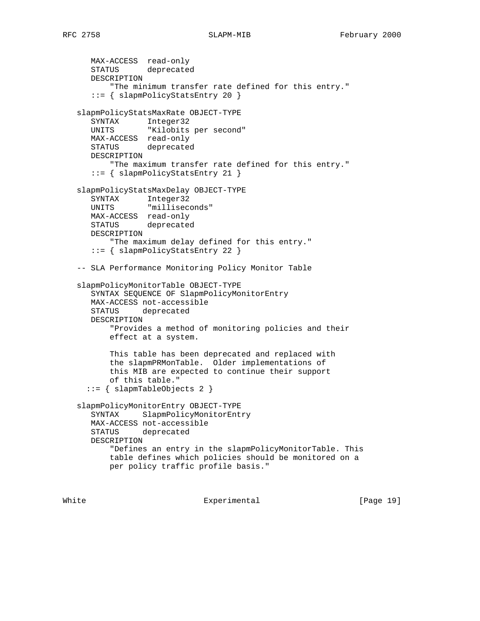MAX-ACCESS read-only STATUS deprecated DESCRIPTION "The minimum transfer rate defined for this entry." ::= { slapmPolicyStatsEntry 20 } slapmPolicyStatsMaxRate OBJECT-TYPE SYNTAX Integer32 UNITS "Kilobits per second" MAX-ACCESS read-only STATUS deprecated DESCRIPTION "The maximum transfer rate defined for this entry." ::= { slapmPolicyStatsEntry 21 } slapmPolicyStatsMaxDelay OBJECT-TYPE SYNTAX Integer32 UNITS "milliseconds" MAX-ACCESS read-only STATUS deprecated DESCRIPTION "The maximum delay defined for this entry." ::= { slapmPolicyStatsEntry 22 } -- SLA Performance Monitoring Policy Monitor Table slapmPolicyMonitorTable OBJECT-TYPE SYNTAX SEQUENCE OF SlapmPolicyMonitorEntry MAX-ACCESS not-accessible STATUS deprecated DESCRIPTION "Provides a method of monitoring policies and their effect at a system. This table has been deprecated and replaced with the slapmPRMonTable. Older implementations of this MIB are expected to continue their support of this table." ::= { slapmTableObjects 2 } slapmPolicyMonitorEntry OBJECT-TYPE SYNTAX SlapmPolicyMonitorEntry MAX-ACCESS not-accessible STATUS deprecated DESCRIPTION "Defines an entry in the slapmPolicyMonitorTable. This table defines which policies should be monitored on a per policy traffic profile basis."

White Experimental [Page 19]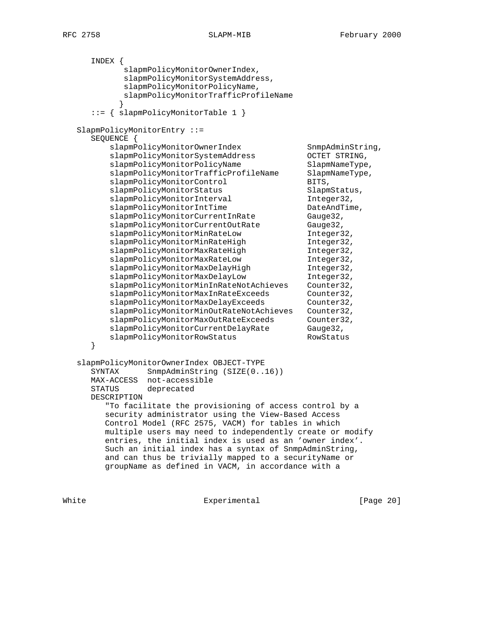INDEX { slapmPolicyMonitorOwnerIndex, slapmPolicyMonitorSystemAddress, slapmPolicyMonitorPolicyName, slapmPolicyMonitorTrafficProfileName } ::= { slapmPolicyMonitorTable 1 } SlapmPolicyMonitorEntry ::= SEQUENCE { slapmPolicyMonitorOwnerIndex SnmpAdminString, slapmPolicyMonitorSystemAddress OCTET STRING, slapmPolicyMonitorPolicyName SlapmNameType, slapmPolicyMonitorTrafficProfileName SlapmNameType, slapmPolicyMonitorControl BITS, slapmPolicyMonitorStatus SlapmStatus, slapmPolicyMonitorInterval Integer32, slapmPolicyMonitorIntTime DateAndTime, slapmPolicyMonitorCurrentInRate Gauge32, slapmPolicyMonitorCurrentOutRate Gauge32, slapmPolicyMonitorMinRateLow Integer32, slapmPolicyMonitorMinRateHigh Integer32, slapmPolicyMonitorMaxRateHigh Integer32, slapmPolicyMonitorMaxRateLow Integer32, slapmPolicyMonitorMaxDelayHigh Integer32, slapmPolicyMonitorMaxDelayLow Integer32, slapmPolicyMonitorMinInRateNotAchieves Counter32, slapmPolicyMonitorMaxInRateExceeds Counter32, slapmPolicyMonitorMaxDelayExceeds Counter32, slapmPolicyMonitorMinOutRateNotAchieves Counter32, slapmPolicyMonitorMaxOutRateExceeds Counter32, slapmPolicyMonitorCurrentDelayRate Gauge32, slapmPolicyMonitorRowStatus RowStatus } slapmPolicyMonitorOwnerIndex OBJECT-TYPE SYNTAX SnmpAdminString (SIZE(0..16)) MAX-ACCESS not-accessible STATUS deprecated DESCRIPTION "To facilitate the provisioning of access control by a security administrator using the View-Based Access Control Model (RFC 2575, VACM) for tables in which multiple users may need to independently create or modify entries, the initial index is used as an 'owner index'. Such an initial index has a syntax of SnmpAdminString, and can thus be trivially mapped to a securityName or groupName as defined in VACM, in accordance with a

White **Experimental** Experimental **EXPERIMENT** Experimental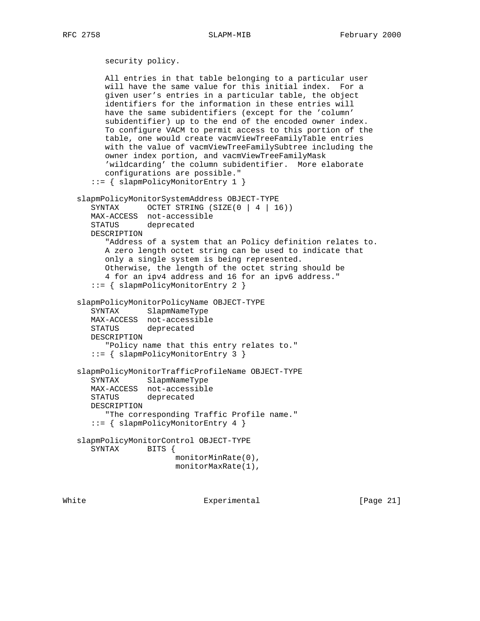```
 security policy.
      All entries in that table belonging to a particular user
      will have the same value for this initial index. For a
      given user's entries in a particular table, the object
      identifiers for the information in these entries will
      have the same subidentifiers (except for the 'column'
      subidentifier) up to the end of the encoded owner index.
      To configure VACM to permit access to this portion of the
      table, one would create vacmViewTreeFamilyTable entries
      with the value of vacmViewTreeFamilySubtree including the
      owner index portion, and vacmViewTreeFamilyMask
      'wildcarding' the column subidentifier. More elaborate
      configurations are possible."
    ::= { slapmPolicyMonitorEntry 1 }
 slapmPolicyMonitorSystemAddress OBJECT-TYPE
   SYNTAX OCTET STRING (SIZE(0 | 4 | 16))
   MAX-ACCESS not-accessible
   STATUS deprecated
   DESCRIPTION
      "Address of a system that an Policy definition relates to.
      A zero length octet string can be used to indicate that
      only a single system is being represented.
      Otherwise, the length of the octet string should be
       4 for an ipv4 address and 16 for an ipv6 address."
    ::= { slapmPolicyMonitorEntry 2 }
 slapmPolicyMonitorPolicyName OBJECT-TYPE
    SYNTAX SlapmNameType
   MAX-ACCESS not-accessible
   STATUS deprecated
   DESCRIPTION
       "Policy name that this entry relates to."
    ::= { slapmPolicyMonitorEntry 3 }
 slapmPolicyMonitorTrafficProfileName OBJECT-TYPE
   SYNTAX SlapmNameType
   MAX-ACCESS not-accessible
    STATUS deprecated
   DESCRIPTION
      "The corresponding Traffic Profile name."
    ::= { slapmPolicyMonitorEntry 4 }
 slapmPolicyMonitorControl OBJECT-TYPE
    SYNTAX BITS {
                     monitorMinRate(0),
                      monitorMaxRate(1),
```
White **Experimental** Experimental [Page 21]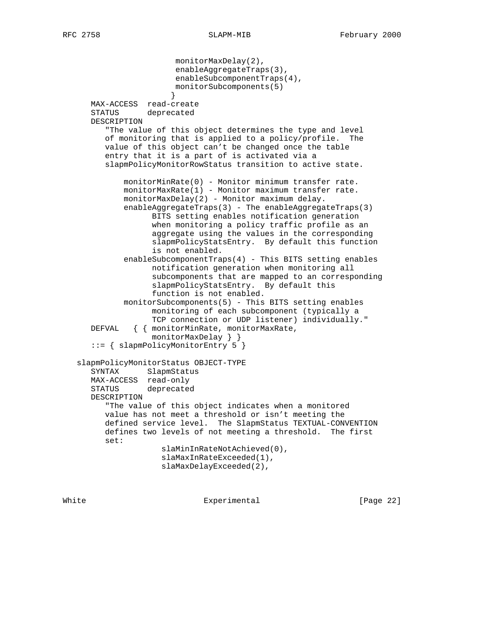monitorMaxDelay(2), enableAggregateTraps(3), enableSubcomponentTraps(4), monitorSubcomponents(5) } MAX-ACCESS read-create STATUS deprecated DESCRIPTION "The value of this object determines the type and level of monitoring that is applied to a policy/profile. The value of this object can't be changed once the table entry that it is a part of is activated via a slapmPolicyMonitorRowStatus transition to active state. monitorMinRate(0) - Monitor minimum transfer rate. monitorMaxRate(1) - Monitor maximum transfer rate. monitorMaxDelay(2) - Monitor maximum delay. enableAggregateTraps(3) - The enableAggregateTraps(3) BITS setting enables notification generation when monitoring a policy traffic profile as an aggregate using the values in the corresponding slapmPolicyStatsEntry. By default this function is not enabled. enableSubcomponentTraps(4) - This BITS setting enables notification generation when monitoring all subcomponents that are mapped to an corresponding slapmPolicyStatsEntry. By default this function is not enabled. monitorSubcomponents(5) - This BITS setting enables monitoring of each subcomponent (typically a TCP connection or UDP listener) individually." DEFVAL { { monitorMinRate, monitorMaxRate, monitorMaxDelay } } ::= { slapmPolicyMonitorEntry 5 } slapmPolicyMonitorStatus OBJECT-TYPE SYNTAX SlapmStatus MAX-ACCESS read-only STATUS deprecated DESCRIPTION "The value of this object indicates when a monitored value has not meet a threshold or isn't meeting the defined service level. The SlapmStatus TEXTUAL-CONVENTION defines two levels of not meeting a threshold. The first set: slaMinInRateNotAchieved(0), slaMaxInRateExceeded(1), slaMaxDelayExceeded(2),

White Experimental Experimental [Page 22]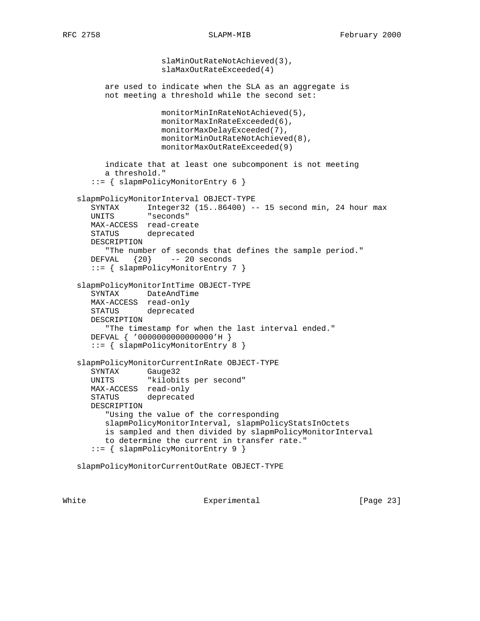slaMinOutRateNotAchieved(3), slaMaxOutRateExceeded(4) are used to indicate when the SLA as an aggregate is not meeting a threshold while the second set: monitorMinInRateNotAchieved(5), monitorMaxInRateExceeded(6), monitorMaxDelayExceeded(7), monitorMinOutRateNotAchieved(8), monitorMaxOutRateExceeded(9) indicate that at least one subcomponent is not meeting a threshold." ::= { slapmPolicyMonitorEntry 6 } slapmPolicyMonitorInterval OBJECT-TYPE SYNTAX Integer32 (15..86400) -- 15 second min, 24 hour max UNITS "seconds" MAX-ACCESS read-create STATUS deprecated DESCRIPTION "The number of seconds that defines the sample period." DEFVAL {20} -- 20 seconds ::= { slapmPolicyMonitorEntry 7 } slapmPolicyMonitorIntTime OBJECT-TYPE SYNTAX DateAndTime MAX-ACCESS read-only STATUS deprecated DESCRIPTION "The timestamp for when the last interval ended." DEFVAL { '0000000000000000'H } ::= { slapmPolicyMonitorEntry 8 } slapmPolicyMonitorCurrentInRate OBJECT-TYPE SYNTAX Gauge32 UNITS "kilobits per second" MAX-ACCESS read-only STATUS deprecated DESCRIPTION "Using the value of the corresponding slapmPolicyMonitorInterval, slapmPolicyStatsInOctets is sampled and then divided by slapmPolicyMonitorInterval to determine the current in transfer rate." ::= { slapmPolicyMonitorEntry 9 } slapmPolicyMonitorCurrentOutRate OBJECT-TYPE

White Experimental Experimental [Page 23]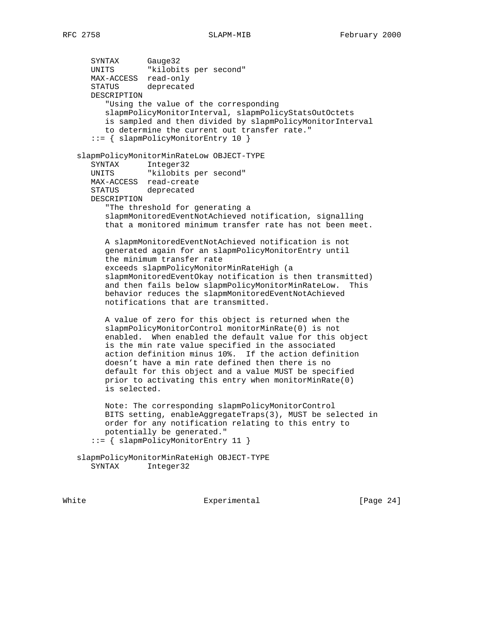SYNTAX Gauge32 UNITS "kilobits per second" MAX-ACCESS read-only STATUS deprecated DESCRIPTION "Using the value of the corresponding slapmPolicyMonitorInterval, slapmPolicyStatsOutOctets is sampled and then divided by slapmPolicyMonitorInterval to determine the current out transfer rate." ::= { slapmPolicyMonitorEntry 10 } slapmPolicyMonitorMinRateLow OBJECT-TYPE SYNTAX Integer32<br>UNITS "kilobits "kilobits per second" MAX-ACCESS read-create STATUS deprecated DESCRIPTION "The threshold for generating a slapmMonitoredEventNotAchieved notification, signalling that a monitored minimum transfer rate has not been meet. A slapmMonitoredEventNotAchieved notification is not generated again for an slapmPolicyMonitorEntry until the minimum transfer rate exceeds slapmPolicyMonitorMinRateHigh (a slapmMonitoredEventOkay notification is then transmitted) and then fails below slapmPolicyMonitorMinRateLow. This behavior reduces the slapmMonitoredEventNotAchieved notifications that are transmitted. A value of zero for this object is returned when the slapmPolicyMonitorControl monitorMinRate(0) is not enabled. When enabled the default value for this object is the min rate value specified in the associated action definition minus 10%. If the action definition doesn't have a min rate defined then there is no default for this object and a value MUST be specified prior to activating this entry when monitorMinRate(0) is selected. Note: The corresponding slapmPolicyMonitorControl BITS setting, enableAggregateTraps(3), MUST be selected in order for any notification relating to this entry to potentially be generated." ::= { slapmPolicyMonitorEntry 11 } slapmPolicyMonitorMinRateHigh OBJECT-TYPE SYNTAX Integer32

White Experimental Experimental [Page 24]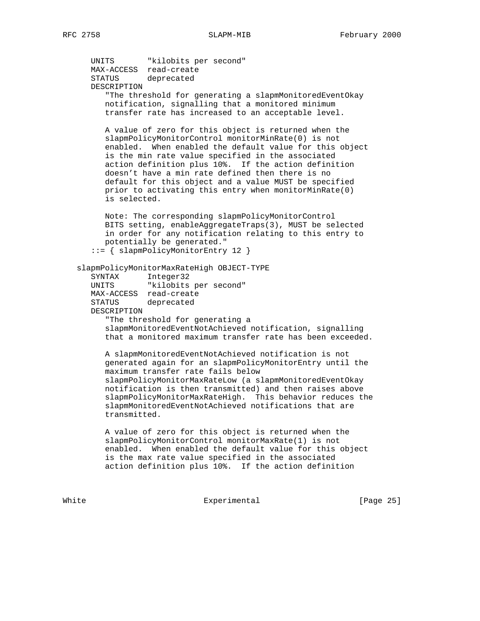UNITS "kilobits per second" MAX-ACCESS read-create STATUS deprecated DESCRIPTION "The threshold for generating a slapmMonitoredEventOkay notification, signalling that a monitored minimum transfer rate has increased to an acceptable level. A value of zero for this object is returned when the slapmPolicyMonitorControl monitorMinRate(0) is not enabled. When enabled the default value for this object is the min rate value specified in the associated action definition plus 10%. If the action definition doesn't have a min rate defined then there is no default for this object and a value MUST be specified prior to activating this entry when monitorMinRate(0) is selected. Note: The corresponding slapmPolicyMonitorControl BITS setting, enableAggregateTraps(3), MUST be selected in order for any notification relating to this entry to potentially be generated." ::= { slapmPolicyMonitorEntry 12 } slapmPolicyMonitorMaxRateHigh OBJECT-TYPE SYNTAX Integer32 UNITS "kilobits per second" MAX-ACCESS read-create STATUS deprecated DESCRIPTION "The threshold for generating a slapmMonitoredEventNotAchieved notification, signalling that a monitored maximum transfer rate has been exceeded. A slapmMonitoredEventNotAchieved notification is not generated again for an slapmPolicyMonitorEntry until the maximum transfer rate fails below slapmPolicyMonitorMaxRateLow (a slapmMonitoredEventOkay notification is then transmitted) and then raises above slapmPolicyMonitorMaxRateHigh. This behavior reduces the slapmMonitoredEventNotAchieved notifications that are transmitted. A value of zero for this object is returned when the slapmPolicyMonitorControl monitorMaxRate(1) is not enabled. When enabled the default value for this object is the max rate value specified in the associated action definition plus 10%. If the action definition

White Experimental Experimental [Page 25]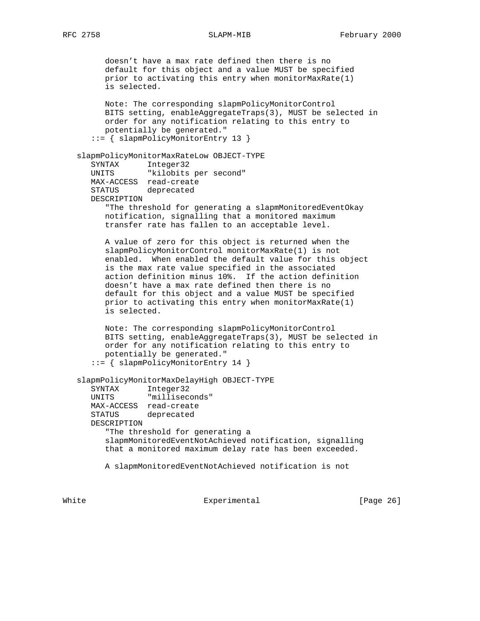doesn't have a max rate defined then there is no default for this object and a value MUST be specified prior to activating this entry when monitorMaxRate(1) is selected. Note: The corresponding slapmPolicyMonitorControl BITS setting, enableAggregateTraps(3), MUST be selected in order for any notification relating to this entry to potentially be generated." ::= { slapmPolicyMonitorEntry 13 } slapmPolicyMonitorMaxRateLow OBJECT-TYPE SYNTAX Integer32 UNITS "kilobits per second" MAX-ACCESS read-create STATUS deprecated DESCRIPTION "The threshold for generating a slapmMonitoredEventOkay notification, signalling that a monitored maximum transfer rate has fallen to an acceptable level. A value of zero for this object is returned when the slapmPolicyMonitorControl monitorMaxRate(1) is not enabled. When enabled the default value for this object is the max rate value specified in the associated action definition minus 10%. If the action definition doesn't have a max rate defined then there is no default for this object and a value MUST be specified prior to activating this entry when monitorMaxRate(1) is selected. Note: The corresponding slapmPolicyMonitorControl BITS setting, enableAggregateTraps(3), MUST be selected in order for any notification relating to this entry to potentially be generated." ::= { slapmPolicyMonitorEntry 14 } slapmPolicyMonitorMaxDelayHigh OBJECT-TYPE SYNTAX Integer32 UNITS "milliseconds" MAX-ACCESS read-create STATUS deprecated DESCRIPTION "The threshold for generating a slapmMonitoredEventNotAchieved notification, signalling that a monitored maximum delay rate has been exceeded. A slapmMonitoredEventNotAchieved notification is not

White **Experimental** Experimental **Experimental** [Page 26]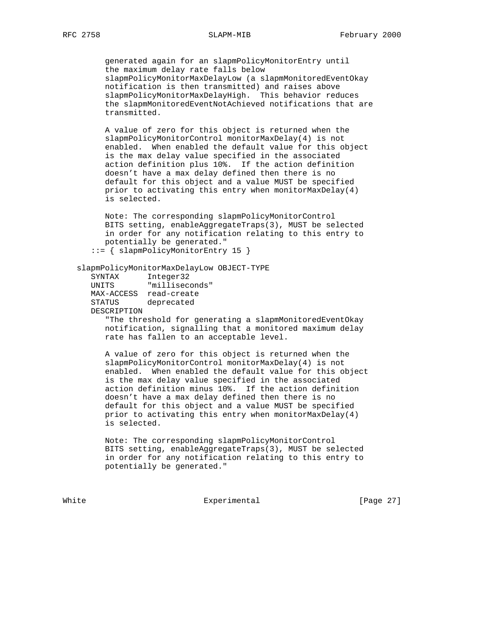generated again for an slapmPolicyMonitorEntry until the maximum delay rate falls below slapmPolicyMonitorMaxDelayLow (a slapmMonitoredEventOkay notification is then transmitted) and raises above slapmPolicyMonitorMaxDelayHigh. This behavior reduces the slapmMonitoredEventNotAchieved notifications that are transmitted.

 A value of zero for this object is returned when the slapmPolicyMonitorControl monitorMaxDelay(4) is not enabled. When enabled the default value for this object is the max delay value specified in the associated action definition plus 10%. If the action definition doesn't have a max delay defined then there is no default for this object and a value MUST be specified prior to activating this entry when monitorMaxDelay(4) is selected.

 Note: The corresponding slapmPolicyMonitorControl BITS setting, enableAggregateTraps(3), MUST be selected in order for any notification relating to this entry to potentially be generated."

::= { slapmPolicyMonitorEntry 15 }

# slapmPolicyMonitorMaxDelayLow OBJECT-TYPE

| SYNTAX      | Integer32      |
|-------------|----------------|
| UNITS       | "milliseconds" |
| MAX-ACCESS  | read-create    |
| STATUS      | deprecated     |
| DESCRIPTION |                |

 "The threshold for generating a slapmMonitoredEventOkay notification, signalling that a monitored maximum delay rate has fallen to an acceptable level.

 A value of zero for this object is returned when the slapmPolicyMonitorControl monitorMaxDelay(4) is not enabled. When enabled the default value for this object is the max delay value specified in the associated action definition minus 10%. If the action definition doesn't have a max delay defined then there is no default for this object and a value MUST be specified prior to activating this entry when monitorMaxDelay(4) is selected.

 Note: The corresponding slapmPolicyMonitorControl BITS setting, enableAggregateTraps(3), MUST be selected in order for any notification relating to this entry to potentially be generated."

White Experimental Experimental [Page 27]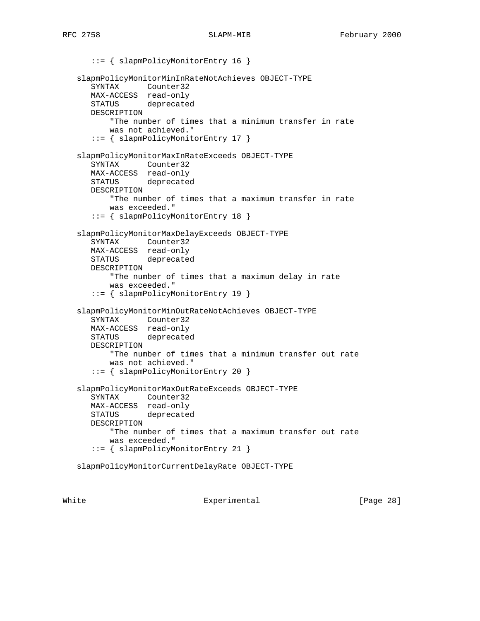```
 ::= { slapmPolicyMonitorEntry 16 }
 slapmPolicyMonitorMinInRateNotAchieves OBJECT-TYPE
    SYNTAX Counter32
   MAX-ACCESS read-only
   STATUS deprecated
   DESCRIPTION
       "The number of times that a minimum transfer in rate
       was not achieved."
    ::= { slapmPolicyMonitorEntry 17 }
 slapmPolicyMonitorMaxInRateExceeds OBJECT-TYPE
    SYNTAX Counter32
   MAX-ACCESS read-only
   STATUS deprecated
   DESCRIPTION
       "The number of times that a maximum transfer in rate
       was exceeded."
    ::= { slapmPolicyMonitorEntry 18 }
 slapmPolicyMonitorMaxDelayExceeds OBJECT-TYPE
    SYNTAX Counter32
   MAX-ACCESS read-only
   STATUS deprecated
   DESCRIPTION
        "The number of times that a maximum delay in rate
       was exceeded."
    ::= { slapmPolicyMonitorEntry 19 }
 slapmPolicyMonitorMinOutRateNotAchieves OBJECT-TYPE
   SYNTAX Counter32
   MAX-ACCESS read-only
   STATUS deprecated
   DESCRIPTION
       "The number of times that a minimum transfer out rate
       was not achieved."
    ::= { slapmPolicyMonitorEntry 20 }
 slapmPolicyMonitorMaxOutRateExceeds OBJECT-TYPE
   SYNTAX Counter32
   MAX-ACCESS read-only
   STATUS deprecated
   DESCRIPTION
       "The number of times that a maximum transfer out rate
       was exceeded."
    ::= { slapmPolicyMonitorEntry 21 }
 slapmPolicyMonitorCurrentDelayRate OBJECT-TYPE
```
White **Experimental** Experimental **EXPERIMEL**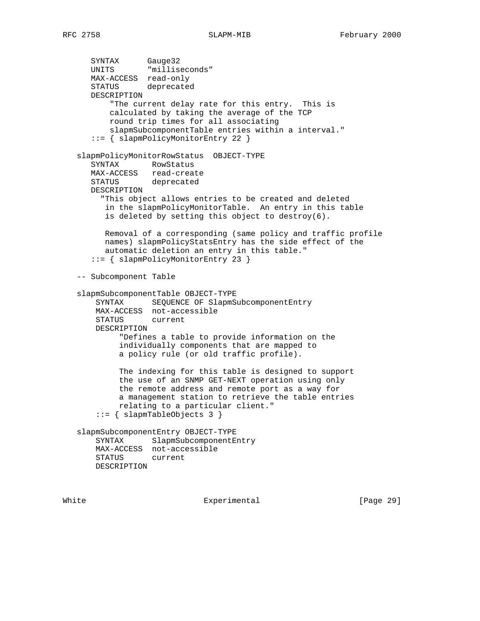SYNTAX Gauge32 UNITS "milliseconds" MAX-ACCESS read-only STATUS deprecated DESCRIPTION "The current delay rate for this entry. This is calculated by taking the average of the TCP round trip times for all associating slapmSubcomponentTable entries within a interval." ::= { slapmPolicyMonitorEntry 22 } slapmPolicyMonitorRowStatus OBJECT-TYPE SYNTAX RowStatus MAX-ACCESS read-create STATUS deprecated DESCRIPTION "This object allows entries to be created and deleted in the slapmPolicyMonitorTable. An entry in this table is deleted by setting this object to destroy(6). Removal of a corresponding (same policy and traffic profile names) slapmPolicyStatsEntry has the side effect of the automatic deletion an entry in this table." ::= { slapmPolicyMonitorEntry 23 } -- Subcomponent Table slapmSubcomponentTable OBJECT-TYPE SYNTAX SEQUENCE OF SlapmSubcomponentEntry MAX-ACCESS not-accessible STATUS current DESCRIPTION "Defines a table to provide information on the individually components that are mapped to a policy rule (or old traffic profile).

> The indexing for this table is designed to support the use of an SNMP GET-NEXT operation using only the remote address and remote port as a way for a management station to retrieve the table entries relating to a particular client." ::= { slapmTableObjects 3 }

 slapmSubcomponentEntry OBJECT-TYPE SYNTAX SlapmSubcomponentEntry MAX-ACCESS not-accessible STATUS current DESCRIPTION

White Experimental [Page 29]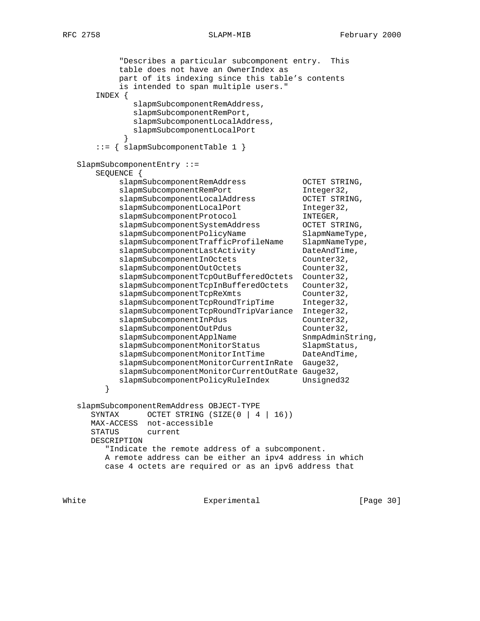"Describes a particular subcomponent entry. This table does not have an OwnerIndex as part of its indexing since this table's contents is intended to span multiple users." INDEX { slapmSubcomponentRemAddress, slapmSubcomponentRemPort, slapmSubcomponentLocalAddress, slapmSubcomponentLocalPort } ::= { slapmSubcomponentTable 1 } SlapmSubcomponentEntry ::= SEQUENCE { slapmSubcomponentRemAddress OCTET STRING, slapmSubcomponentRemPort Integer32, slapmSubcomponentLocalAddress OCTET STRING, slapmSubcomponentLocalPort Integer32, slapmSubcomponentProtocol INTEGER, slapmSubcomponentSystemAddress OCTET STRING, slapmSubcomponentPolicyName SlapmNameType, slapmSubcomponentTrafficProfileName SlapmNameType, slapmSubcomponentLastActivity DateAndTime, slapmSubcomponentInOctets Counter32, slapmSubcomponentOutOctets Counter32, slapmSubcomponentTcpOutBufferedOctets Counter32, slapmSubcomponentTcpInBufferedOctets Counter32, slapmSubcomponentTcpReXmts Counter32, slapmSubcomponentTcpRoundTripTime Integer32, slapmSubcomponentTcpRoundTripVariance Integer32, slapmSubcomponentInPdus Counter32, slapmSubcomponentOutPdus Counter32, slapmSubcomponentApplName SnmpAdminString, slapmSubcomponentMonitorStatus SlapmStatus, slapmSubcomponentMonitorIntTime DateAndTime, slapmSubcomponentMonitorCurrentInRate Gauge32, slapmSubcomponentMonitorCurrentOutRate Gauge32, slapmSubcomponentPolicyRuleIndex Unsigned32 } slapmSubcomponentRemAddress OBJECT-TYPE SYNTAX OCTET STRING (SIZE(0 | 4 | 16)) MAX-ACCESS not-accessible STATUS current DESCRIPTION "Indicate the remote address of a subcomponent. A remote address can be either an ipv4 address in which case 4 octets are required or as an ipv6 address that

White **Experimental** Experimental [Page 30]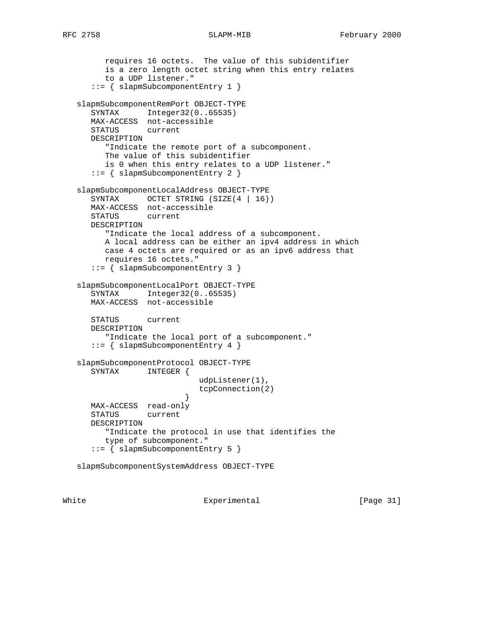```
 requires 16 octets. The value of this subidentifier
         is a zero length octet string when this entry relates
         to a UDP listener."
       ::= { slapmSubcomponentEntry 1 }
   slapmSubcomponentRemPort OBJECT-TYPE
      SYNTAX Integer32(0..65535)
      MAX-ACCESS not-accessible
      STATUS current
      DESCRIPTION
         "Indicate the remote port of a subcomponent.
         The value of this subidentifier
         is 0 when this entry relates to a UDP listener."
       ::= { slapmSubcomponentEntry 2 }
   slapmSubcomponentLocalAddress OBJECT-TYPE
     SYNTAX OCTET STRING (SIZE(4 | 16))
      MAX-ACCESS not-accessible
      STATUS current
      DESCRIPTION
         "Indicate the local address of a subcomponent.
         A local address can be either an ipv4 address in which
         case 4 octets are required or as an ipv6 address that
         requires 16 octets."
       ::= { slapmSubcomponentEntry 3 }
   slapmSubcomponentLocalPort OBJECT-TYPE
      SYNTAX Integer32(0..65535)
      MAX-ACCESS not-accessible
      STATUS current
      DESCRIPTION
         "Indicate the local port of a subcomponent."
      ::= { slapmSubcomponentEntry 4 }
   slapmSubcomponentProtocol OBJECT-TYPE
      SYNTAX INTEGER {
                             udpListener(1),
                             tcpConnection(2)
 }
      MAX-ACCESS read-only
      STATUS current
      DESCRIPTION
         "Indicate the protocol in use that identifies the
         type of subcomponent."
       ::= { slapmSubcomponentEntry 5 }
   slapmSubcomponentSystemAddress OBJECT-TYPE
```
White Experimental Experimental [Page 31]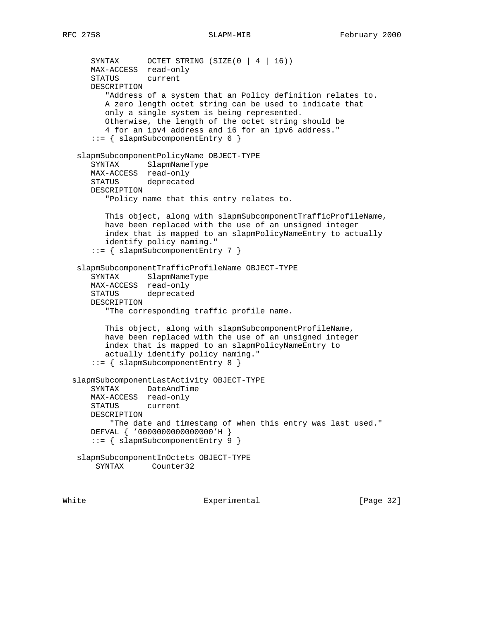```
SYNTAX OCTET STRING (SIZE(0 | 4 | 16))
      MAX-ACCESS read-only
      STATUS current
      DESCRIPTION
         "Address of a system that an Policy definition relates to.
         A zero length octet string can be used to indicate that
         only a single system is being represented.
         Otherwise, the length of the octet string should be
         4 for an ipv4 address and 16 for an ipv6 address."
       ::= { slapmSubcomponentEntry 6 }
   slapmSubcomponentPolicyName OBJECT-TYPE
      SYNTAX SlapmNameType
      MAX-ACCESS read-only
      STATUS deprecated
      DESCRIPTION
         "Policy name that this entry relates to.
         This object, along with slapmSubcomponentTrafficProfileName,
         have been replaced with the use of an unsigned integer
         index that is mapped to an slapmPolicyNameEntry to actually
         identify policy naming."
      ::= { slapmSubcomponentEntry 7 }
   slapmSubcomponentTrafficProfileName OBJECT-TYPE
 SYNTAX SlapmNameType
 MAX-ACCESS read-only
      STATUS deprecated
      DESCRIPTION
         "The corresponding traffic profile name.
         This object, along with slapmSubcomponentProfileName,
         have been replaced with the use of an unsigned integer
         index that is mapped to an slapmPolicyNameEntry to
         actually identify policy naming."
      ::= { slapmSubcomponentEntry 8 }
  slapmSubcomponentLastActivity OBJECT-TYPE
      SYNTAX DateAndTime
      MAX-ACCESS read-only
      STATUS current
      DESCRIPTION
          "The date and timestamp of when this entry was last used."
      DEFVAL { '0000000000000000'H }
      ::= { slapmSubcomponentEntry 9 }
   slapmSubcomponentInOctets OBJECT-TYPE
       SYNTAX Counter32
```
White **Experimental** Experimental [Page 32]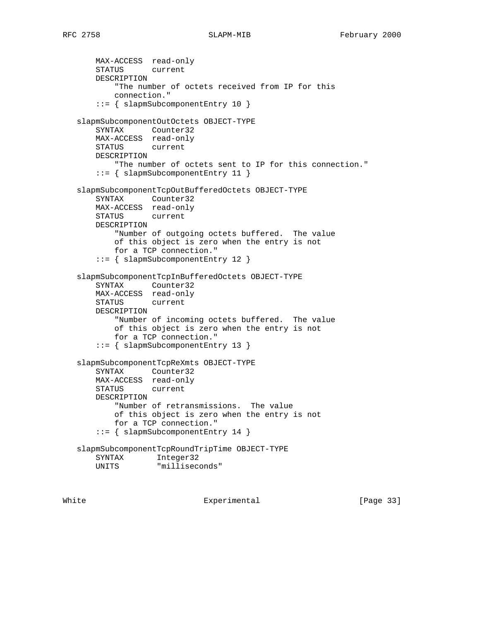```
 MAX-ACCESS read-only
       STATUS current
       DESCRIPTION
           "The number of octets received from IP for this
           connection."
       ::= { slapmSubcomponentEntry 10 }
   slapmSubcomponentOutOctets OBJECT-TYPE
       SYNTAX Counter32
       MAX-ACCESS read-only
       STATUS current
       DESCRIPTION
           "The number of octets sent to IP for this connection."
       ::= { slapmSubcomponentEntry 11 }
   slapmSubcomponentTcpOutBufferedOctets OBJECT-TYPE
       SYNTAX Counter32
       MAX-ACCESS read-only
       STATUS current
       DESCRIPTION
           "Number of outgoing octets buffered. The value
           of this object is zero when the entry is not
           for a TCP connection."
       ::= { slapmSubcomponentEntry 12 }
   slapmSubcomponentTcpInBufferedOctets OBJECT-TYPE
 SYNTAX Counter32
 MAX-ACCESS read-only
       STATUS current
       DESCRIPTION
           "Number of incoming octets buffered. The value
           of this object is zero when the entry is not
           for a TCP connection."
       ::= { slapmSubcomponentEntry 13 }
   slapmSubcomponentTcpReXmts OBJECT-TYPE
       SYNTAX Counter32
       MAX-ACCESS read-only
       STATUS current
       DESCRIPTION
           "Number of retransmissions. The value
           of this object is zero when the entry is not
           for a TCP connection."
       ::= { slapmSubcomponentEntry 14 }
   slapmSubcomponentTcpRoundTripTime OBJECT-TYPE
       SYNTAX Integer32
       UNITS "milliseconds"
```
White Experimental [Page 33]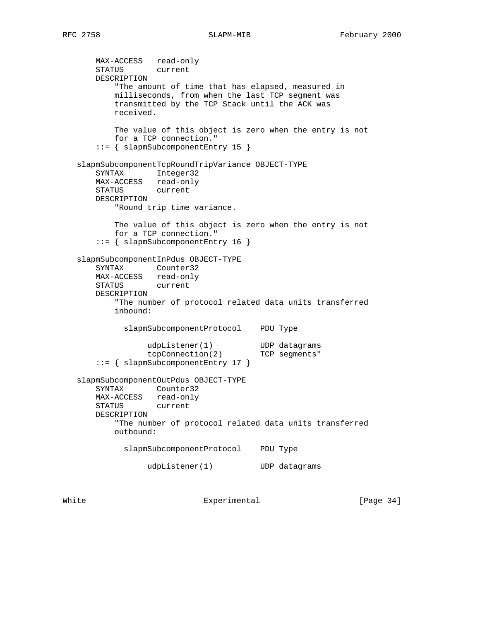MAX-ACCESS read-only STATUS current DESCRIPTION "The amount of time that has elapsed, measured in milliseconds, from when the last TCP segment was transmitted by the TCP Stack until the ACK was received. The value of this object is zero when the entry is not for a TCP connection." ::= { slapmSubcomponentEntry 15 } slapmSubcomponentTcpRoundTripVariance OBJECT-TYPE SYNTAX Integer32 MAX-ACCESS read-only STATUS current DESCRIPTION "Round trip time variance. The value of this object is zero when the entry is not for a TCP connection." ::= { slapmSubcomponentEntry 16 } slapmSubcomponentInPdus OBJECT-TYPE SYNTAX Counter32 MAX-ACCESS read-only STATUS current DESCRIPTION "The number of protocol related data units transferred inbound: slapmSubcomponentProtocol PDU Type udpListener(1) UDP datagrams tcpConnection(2) TCP segments" ::= { slapmSubcomponentEntry 17 } slapmSubcomponentOutPdus OBJECT-TYPE SYNTAX Counter32 MAX-ACCESS read-only<br>STATUS current STATUS DESCRIPTION "The number of protocol related data units transferred outbound: slapmSubcomponentProtocol PDU Type udpListener(1) UDP datagrams

White Experimental [Page 34]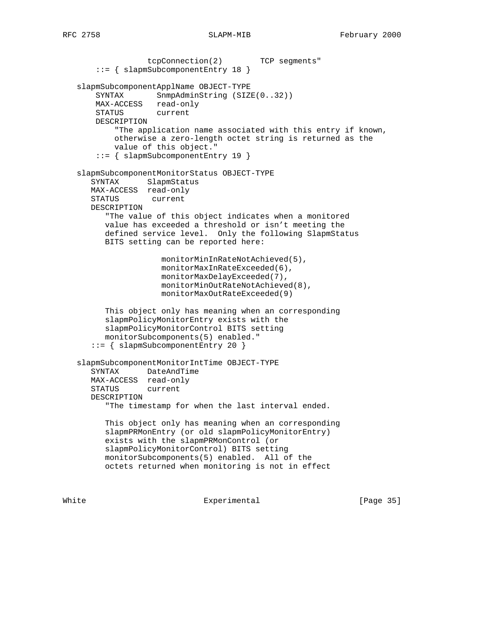tcpConnection(2) TCP segments" ::= { slapmSubcomponentEntry 18 } slapmSubcomponentApplName OBJECT-TYPE SYNTAX SnmpAdminString (SIZE(0..32)) MAX-ACCESS read-only STATUS current DESCRIPTION "The application name associated with this entry if known, otherwise a zero-length octet string is returned as the value of this object." ::= { slapmSubcomponentEntry 19 } slapmSubcomponentMonitorStatus OBJECT-TYPE SYNTAX SlapmStatus MAX-ACCESS read-only STATUS current DESCRIPTION "The value of this object indicates when a monitored value has exceeded a threshold or isn't meeting the defined service level. Only the following SlapmStatus BITS setting can be reported here: monitorMinInRateNotAchieved(5), monitorMaxInRateExceeded(6), monitorMaxDelayExceeded(7), monitorMinOutRateNotAchieved(8), monitorMaxOutRateExceeded(9) This object only has meaning when an corresponding slapmPolicyMonitorEntry exists with the slapmPolicyMonitorControl BITS setting monitorSubcomponents(5) enabled." ::= { slapmSubcomponentEntry 20 } slapmSubcomponentMonitorIntTime OBJECT-TYPE SYNTAX DateAndTime MAX-ACCESS read-only STATUS current DESCRIPTION "The timestamp for when the last interval ended. This object only has meaning when an corresponding slapmPRMonEntry (or old slapmPolicyMonitorEntry) exists with the slapmPRMonControl (or slapmPolicyMonitorControl) BITS setting monitorSubcomponents(5) enabled. All of the octets returned when monitoring is not in effect

White **Experimental** Experimental [Page 35]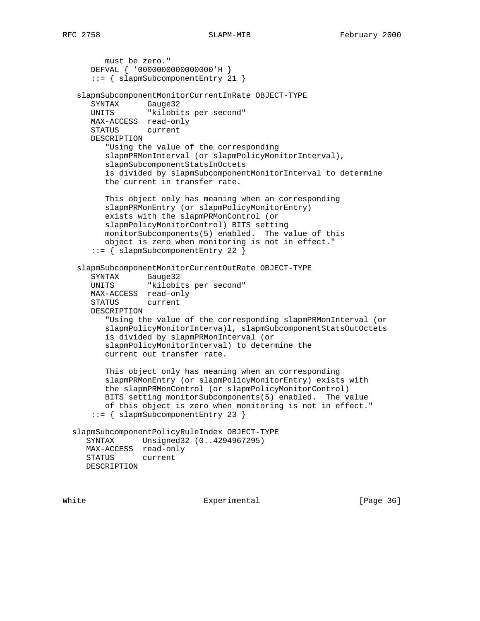must be zero." DEFVAL { '0000000000000000'H } ::= { slapmSubcomponentEntry 21 } slapmSubcomponentMonitorCurrentInRate OBJECT-TYPE SYNTAX Gauge32 UNITS "kilobits per second" MAX-ACCESS read-only STATUS current DESCRIPTION "Using the value of the corresponding slapmPRMonInterval (or slapmPolicyMonitorInterval), slapmSubcomponentStatsInOctets is divided by slapmSubcomponentMonitorInterval to determine the current in transfer rate. This object only has meaning when an corresponding slapmPRMonEntry (or slapmPolicyMonitorEntry) exists with the slapmPRMonControl (or slapmPolicyMonitorControl) BITS setting monitorSubcomponents(5) enabled. The value of this object is zero when monitoring is not in effect." ::= { slapmSubcomponentEntry 22 } slapmSubcomponentMonitorCurrentOutRate OBJECT-TYPE SYNTAX Gauge32 UNITS "kilobits per second" MAX-ACCESS read-only STATUS current DESCRIPTION "Using the value of the corresponding slapmPRMonInterval (or slapmPolicyMonitorInterva)l, slapmSubcomponentStatsOutOctets is divided by slapmPRMonInterval (or slapmPolicyMonitorInterval) to determine the current out transfer rate. This object only has meaning when an corresponding slapmPRMonEntry (or slapmPolicyMonitorEntry) exists with the slapmPRMonControl (or slapmPolicyMonitorControl) BITS setting monitorSubcomponents(5) enabled. The value of this object is zero when monitoring is not in effect." ::= { slapmSubcomponentEntry 23 } slapmSubcomponentPolicyRuleIndex OBJECT-TYPE SYNTAX Unsigned32 (0..4294967295) MAX-ACCESS read-only STATUS current DESCRIPTION

White **Experimental** Experimental [Page 36]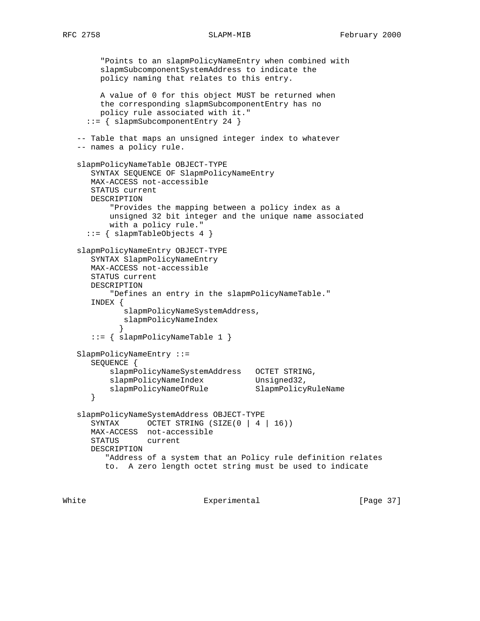"Points to an slapmPolicyNameEntry when combined with slapmSubcomponentSystemAddress to indicate the policy naming that relates to this entry. A value of 0 for this object MUST be returned when the corresponding slapmSubcomponentEntry has no policy rule associated with it." ::= { slapmSubcomponentEntry 24 } -- Table that maps an unsigned integer index to whatever -- names a policy rule. slapmPolicyNameTable OBJECT-TYPE SYNTAX SEQUENCE OF SlapmPolicyNameEntry MAX-ACCESS not-accessible STATUS current DESCRIPTION "Provides the mapping between a policy index as a unsigned 32 bit integer and the unique name associated with a policy rule." ::= { slapmTableObjects 4 } slapmPolicyNameEntry OBJECT-TYPE SYNTAX SlapmPolicyNameEntry MAX-ACCESS not-accessible STATUS current DESCRIPTION "Defines an entry in the slapmPolicyNameTable." INDEX { slapmPolicyNameSystemAddress, slapmPolicyNameIndex } ::= { slapmPolicyNameTable 1 } SlapmPolicyNameEntry ::= SEQUENCE { slapmPolicyNameSystemAddress OCTET STRING, slapmPolicyNameIndex Unsigned32, slapmPolicyNameOfRule SlapmPolicyRuleName } slapmPolicyNameSystemAddress OBJECT-TYPE SYNTAX OCTET STRING (SIZE(0 | 4 | 16)) MAX-ACCESS not-accessible STATUS current DESCRIPTION "Address of a system that an Policy rule definition relates to. A zero length octet string must be used to indicate

White **Experimental** Experimental [Page 37]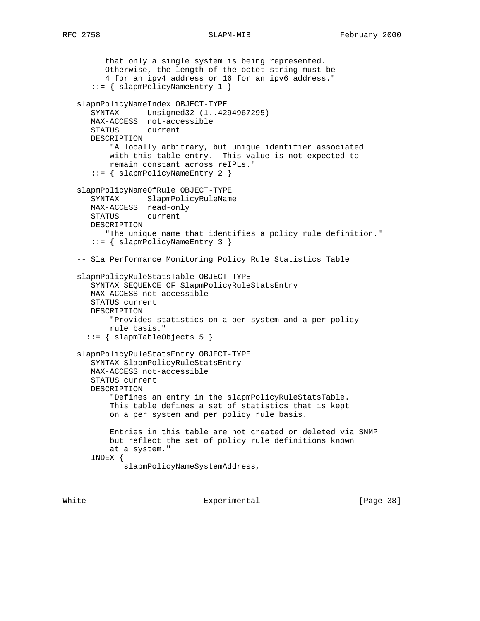```
 that only a single system is being represented.
       Otherwise, the length of the octet string must be
       4 for an ipv4 address or 16 for an ipv6 address."
    ::= { slapmPolicyNameEntry 1 }
 slapmPolicyNameIndex OBJECT-TYPE
    SYNTAX Unsigned32 (1..4294967295)
   MAX-ACCESS not-accessible
    STATUS current
    DESCRIPTION
        "A locally arbitrary, but unique identifier associated
        with this table entry. This value is not expected to
        remain constant across reIPLs."
    ::= { slapmPolicyNameEntry 2 }
 slapmPolicyNameOfRule OBJECT-TYPE
    SYNTAX SlapmPolicyRuleName
  MAX-ACCESS read-only<br>STATUS current
   STATUS
    DESCRIPTION
       "The unique name that identifies a policy rule definition."
    ::= { slapmPolicyNameEntry 3 }
 -- Sla Performance Monitoring Policy Rule Statistics Table
 slapmPolicyRuleStatsTable OBJECT-TYPE
    SYNTAX SEQUENCE OF SlapmPolicyRuleStatsEntry
    MAX-ACCESS not-accessible
    STATUS current
    DESCRIPTION
        "Provides statistics on a per system and a per policy
       rule basis."
   ::= { slapmTableObjects 5 }
 slapmPolicyRuleStatsEntry OBJECT-TYPE
    SYNTAX SlapmPolicyRuleStatsEntry
   MAX-ACCESS not-accessible
    STATUS current
    DESCRIPTION
        "Defines an entry in the slapmPolicyRuleStatsTable.
        This table defines a set of statistics that is kept
        on a per system and per policy rule basis.
        Entries in this table are not created or deleted via SNMP
        but reflect the set of policy rule definitions known
        at a system."
    INDEX {
           slapmPolicyNameSystemAddress,
```
White **Experimental** Experimental **EXPERIMEL**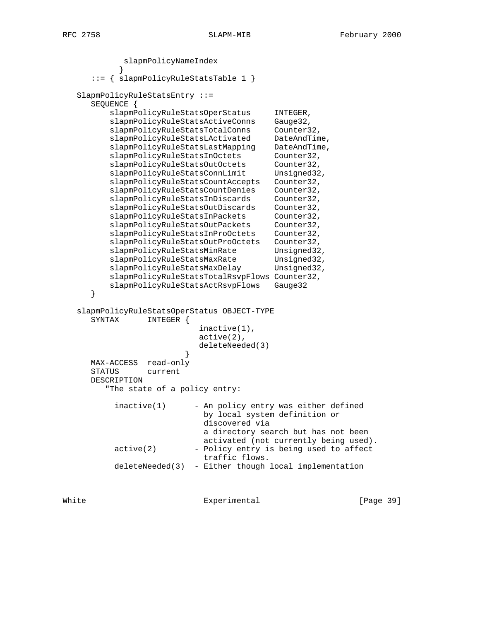```
 slapmPolicyNameIndex
 }
      ::= { slapmPolicyRuleStatsTable 1 }
   SlapmPolicyRuleStatsEntry ::=
      SEQUENCE {
         slapmPolicyRuleStatsOperStatus INTEGER,
         slapmPolicyRuleStatsActiveConns Gauge32,
          slapmPolicyRuleStatsTotalConns Counter32,
         slapmPolicyRuleStatsLActivated DateAndTime,
         slapmPolicyRuleStatsLastMapping DateAndTime,
         slapmPolicyRuleStatsInOctets Counter32,
         slapmPolicyRuleStatsOutOctets Counter32,
         slapmPolicyRuleStatsConnLimit Unsigned32,
          slapmPolicyRuleStatsCountAccepts Counter32,
          slapmPolicyRuleStatsCountDenies Counter32,
         slapmPolicyRuleStatsInDiscards Counter32,
         slapmPolicyRuleStatsOutDiscards Counter32,
         slapmPolicyRuleStatsInPackets Counter32,
         slapmPolicyRuleStatsOutPackets Counter32,
          slapmPolicyRuleStatsInProOctets Counter32,
          slapmPolicyRuleStatsOutProOctets Counter32,
         slapmPolicyRuleStatsMinRate Unsigned32,
         slapmPolicyRuleStatsMaxRate Unsigned32,
         slapmPolicyRuleStatsMaxDelay Unsigned32,
          slapmPolicyRuleStatsTotalRsvpFlows Counter32,
          slapmPolicyRuleStatsActRsvpFlows Gauge32
      }
   slapmPolicyRuleStatsOperStatus OBJECT-TYPE
      SYNTAX INTEGER {
                            inactive(1),
                            active(2),
                            deleteNeeded(3)
 }
      MAX-ACCESS read-only
      STATUS current
      DESCRIPTION
         "The state of a policy entry:
          inactive(1) - An policy entry was either defined
                             by local system definition or
                             discovered via
                             a directory search but has not been
                             activated (not currently being used).
          active(2) - Policy entry is being used to affect
                             traffic flows.
           deleteNeeded(3) - Either though local implementation
```
White **Experimental** Experimental [Page 39]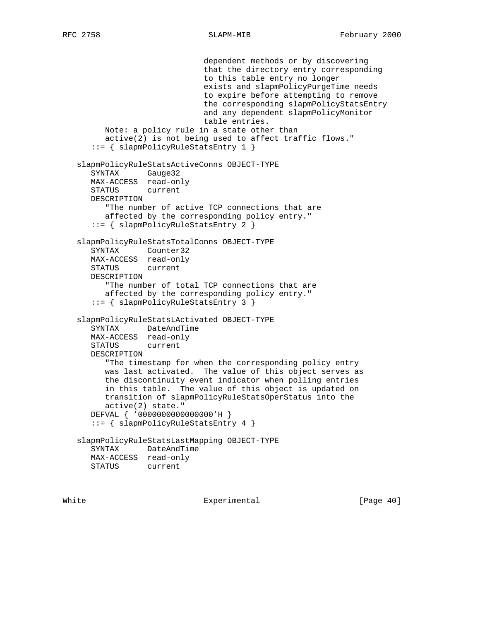```
 dependent methods or by discovering
                            that the directory entry corresponding
                            to this table entry no longer
                            exists and slapmPolicyPurgeTime needs
                            to expire before attempting to remove
                            the corresponding slapmPolicyStatsEntry
                            and any dependent slapmPolicyMonitor
                            table entries.
      Note: a policy rule in a state other than
      active(2) is not being used to affect traffic flows."
    ::= { slapmPolicyRuleStatsEntry 1 }
 slapmPolicyRuleStatsActiveConns OBJECT-TYPE
    SYNTAX Gauge32
   MAX-ACCESS read-only
    STATUS current
   DESCRIPTION
       "The number of active TCP connections that are
      affected by the corresponding policy entry."
    ::= { slapmPolicyRuleStatsEntry 2 }
 slapmPolicyRuleStatsTotalConns OBJECT-TYPE
   SYNTAX Counter32
   MAX-ACCESS read-only
   STATUS current
   DESCRIPTION
       "The number of total TCP connections that are
      affected by the corresponding policy entry."
    ::= { slapmPolicyRuleStatsEntry 3 }
 slapmPolicyRuleStatsLActivated OBJECT-TYPE
   SYNTAX DateAndTime
   MAX-ACCESS read-only
   STATUS current
   DESCRIPTION
       "The timestamp for when the corresponding policy entry
      was last activated. The value of this object serves as
      the discontinuity event indicator when polling entries
      in this table. The value of this object is updated on
      transition of slapmPolicyRuleStatsOperStatus into the
      active(2) state."
   DEFVAL { '0000000000000000'H }
    ::= { slapmPolicyRuleStatsEntry 4 }
 slapmPolicyRuleStatsLastMapping OBJECT-TYPE
   SYNTAX DateAndTime
   MAX-ACCESS read-only
   STATUS current
```
White Experimental Experimental [Page 40]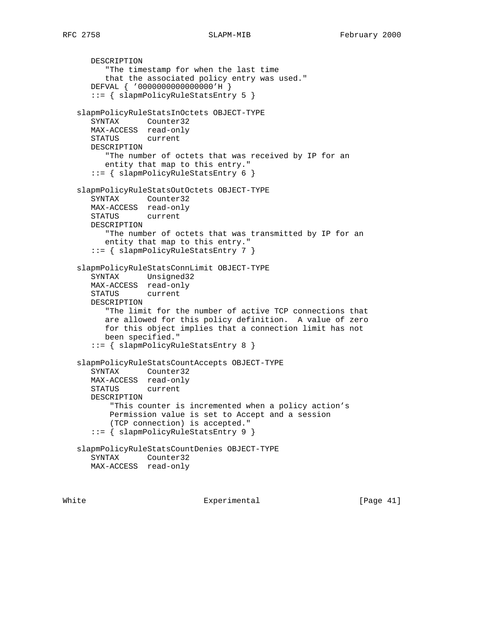DESCRIPTION "The timestamp for when the last time that the associated policy entry was used." DEFVAL { '0000000000000000'H } ::= { slapmPolicyRuleStatsEntry 5 } slapmPolicyRuleStatsInOctets OBJECT-TYPE SYNTAX Counter32 MAX-ACCESS read-only STATUS current DESCRIPTION "The number of octets that was received by IP for an entity that map to this entry." ::= { slapmPolicyRuleStatsEntry 6 } slapmPolicyRuleStatsOutOctets OBJECT-TYPE SYNTAX Counter32 MAX-ACCESS read-only STATUS current DESCRIPTION "The number of octets that was transmitted by IP for an entity that map to this entry." ::= { slapmPolicyRuleStatsEntry 7 } slapmPolicyRuleStatsConnLimit OBJECT-TYPE SYNTAX Unsigned32 MAX-ACCESS read-only STATUS current DESCRIPTION "The limit for the number of active TCP connections that are allowed for this policy definition. A value of zero for this object implies that a connection limit has not been specified." ::= { slapmPolicyRuleStatsEntry 8 } slapmPolicyRuleStatsCountAccepts OBJECT-TYPE SYNTAX Counter32 MAX-ACCESS read-only STATUS current DESCRIPTION "This counter is incremented when a policy action's Permission value is set to Accept and a session (TCP connection) is accepted." ::= { slapmPolicyRuleStatsEntry 9 } slapmPolicyRuleStatsCountDenies OBJECT-TYPE SYNTAX Counter32 MAX-ACCESS read-only

White Experimental Experimental [Page 41]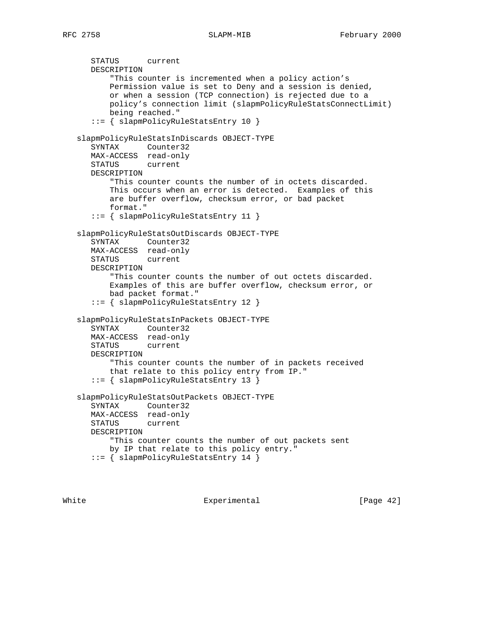```
 STATUS current
    DESCRIPTION
        "This counter is incremented when a policy action's
       Permission value is set to Deny and a session is denied,
       or when a session (TCP connection) is rejected due to a
       policy's connection limit (slapmPolicyRuleStatsConnectLimit)
       being reached."
    ::= { slapmPolicyRuleStatsEntry 10 }
 slapmPolicyRuleStatsInDiscards OBJECT-TYPE
    SYNTAX Counter32
   MAX-ACCESS read-only
   STATUS current
   DESCRIPTION
        "This counter counts the number of in octets discarded.
       This occurs when an error is detected. Examples of this
       are buffer overflow, checksum error, or bad packet
       format."
    ::= { slapmPolicyRuleStatsEntry 11 }
 slapmPolicyRuleStatsOutDiscards OBJECT-TYPE
    SYNTAX Counter32
   MAX-ACCESS read-only
   STATUS current
   DESCRIPTION
        "This counter counts the number of out octets discarded.
       Examples of this are buffer overflow, checksum error, or
       bad packet format."
    ::= { slapmPolicyRuleStatsEntry 12 }
 slapmPolicyRuleStatsInPackets OBJECT-TYPE
   SYNTAX Counter32
   MAX-ACCESS read-only
   STATUS current
   DESCRIPTION
        "This counter counts the number of in packets received
       that relate to this policy entry from IP."
    ::= { slapmPolicyRuleStatsEntry 13 }
 slapmPolicyRuleStatsOutPackets OBJECT-TYPE
    SYNTAX Counter32
   MAX-ACCESS read-only
   STATUS current
   DESCRIPTION
       "This counter counts the number of out packets sent
       by IP that relate to this policy entry."
    ::= { slapmPolicyRuleStatsEntry 14 }
```
White Experimental Experimental [Page 42]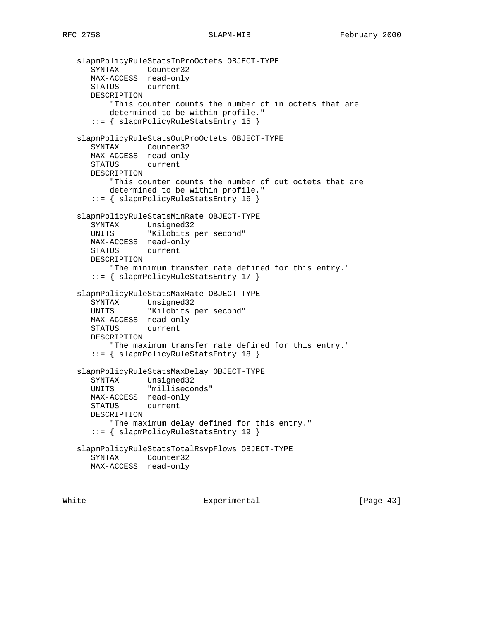```
 slapmPolicyRuleStatsInProOctets OBJECT-TYPE
 SYNTAX Counter32
 MAX-ACCESS read-only
      STATUS current
      DESCRIPTION
          "This counter counts the number of in octets that are
          determined to be within profile."
      ::= { slapmPolicyRuleStatsEntry 15 }
   slapmPolicyRuleStatsOutProOctets OBJECT-TYPE
      SYNTAX Counter32
      MAX-ACCESS read-only
      STATUS current
      DESCRIPTION
          "This counter counts the number of out octets that are
          determined to be within profile."
      ::= { slapmPolicyRuleStatsEntry 16 }
   slapmPolicyRuleStatsMinRate OBJECT-TYPE
      SYNTAX Unsigned32
               "Kilobits per second"
      MAX-ACCESS read-only
      STATUS current
      DESCRIPTION
          "The minimum transfer rate defined for this entry."
      ::= { slapmPolicyRuleStatsEntry 17 }
   slapmPolicyRuleStatsMaxRate OBJECT-TYPE
     SYNTAX Unsigned32
      UNITS "Kilobits per second"
      MAX-ACCESS read-only
      STATUS current
      DESCRIPTION
          "The maximum transfer rate defined for this entry."
      ::= { slapmPolicyRuleStatsEntry 18 }
   slapmPolicyRuleStatsMaxDelay OBJECT-TYPE
 SYNTAX Unsigned32
 UNITS "milliseconds"
      MAX-ACCESS read-only
      STATUS current
      DESCRIPTION
          "The maximum delay defined for this entry."
      ::= { slapmPolicyRuleStatsEntry 19 }
   slapmPolicyRuleStatsTotalRsvpFlows OBJECT-TYPE
      SYNTAX Counter32
      MAX-ACCESS read-only
```
White Experimental Experimental [Page 43]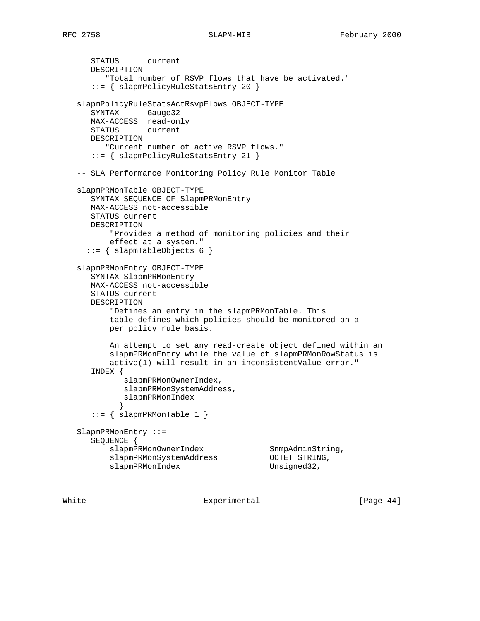STATUS current DESCRIPTION "Total number of RSVP flows that have be activated." ::= { slapmPolicyRuleStatsEntry 20 } slapmPolicyRuleStatsActRsvpFlows OBJECT-TYPE SYNTAX Gauge32 MAX-ACCESS read-only STATUS current DESCRIPTION "Current number of active RSVP flows." ::= { slapmPolicyRuleStatsEntry 21 } -- SLA Performance Monitoring Policy Rule Monitor Table slapmPRMonTable OBJECT-TYPE SYNTAX SEQUENCE OF SlapmPRMonEntry MAX-ACCESS not-accessible STATUS current DESCRIPTION "Provides a method of monitoring policies and their effect at a system." ::= { slapmTableObjects 6 } slapmPRMonEntry OBJECT-TYPE SYNTAX SlapmPRMonEntry MAX-ACCESS not-accessible STATUS current DESCRIPTION "Defines an entry in the slapmPRMonTable. This table defines which policies should be monitored on a per policy rule basis. An attempt to set any read-create object defined within an slapmPRMonEntry while the value of slapmPRMonRowStatus is active(1) will result in an inconsistentValue error." INDEX { slapmPRMonOwnerIndex, slapmPRMonSystemAddress, slapmPRMonIndex } ::= { slapmPRMonTable 1 } SlapmPRMonEntry ::= SEQUENCE { slapmPRMonOwnerIndex SnmpAdminString, slapmPRMonSystemAddress OCTET STRING, slapmPRMonIndex Unsigned32,

White Experimental Experimental [Page 44]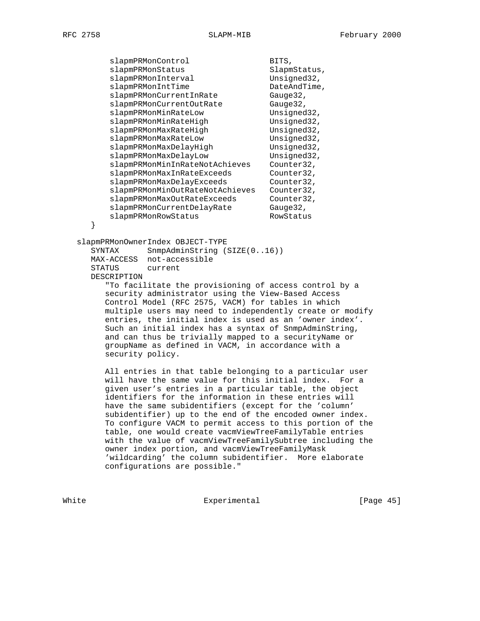| slapmPRMonControl               | BITS,        |
|---------------------------------|--------------|
| slapmPRMonStatus                | SlapmStatus, |
| slapmPRMonInterval              | Unsigned32,  |
| slapmPRMonIntTime               | DateAndTime, |
| slapmPRMonCurrentInRate         | Gauge32,     |
| slapmPRMonCurrentOutRate        | Gauge32,     |
| slapmPRMonMinRateLow            | Unsigned32,  |
| slapmPRMonMinRateHigh           | Unsigned32,  |
| slapmPRMonMaxRateHigh           | Unsigned32,  |
| slapmPRMonMaxRateLow            | Unsigned32,  |
| slapmPRMonMaxDelayHigh          | Unsigned32,  |
| slapmPRMonMaxDelayLow           | Unsigned32,  |
| slapmPRMonMinInRateNotAchieves  | Counter32,   |
| slapmPRMonMaxInRateExceeds      | Counter32,   |
| slapmPRMonMaxDelayExceeds       | Counter32,   |
| slapmPRMonMinOutRateNotAchieves | Counter32,   |
| slapmPRMonMaxOutRateExceeds     | Counter32,   |
| slapmPRMonCurrentDelayRate      | Gauge32,     |
| slapmPRMonRowStatus             | RowStatus    |
|                                 |              |

slapmPRMonOwnerIndex OBJECT-TYPE

SYNTAX SnmpAdminString (SIZE(0..16)) MAX-ACCESS not-accessible STATUS current DESCRIPTION

 "To facilitate the provisioning of access control by a security administrator using the View-Based Access Control Model (RFC 2575, VACM) for tables in which multiple users may need to independently create or modify entries, the initial index is used as an 'owner index'. Such an initial index has a syntax of SnmpAdminString, and can thus be trivially mapped to a securityName or groupName as defined in VACM, in accordance with a security policy.

 All entries in that table belonging to a particular user will have the same value for this initial index. For a given user's entries in a particular table, the object identifiers for the information in these entries will have the same subidentifiers (except for the 'column' subidentifier) up to the end of the encoded owner index. To configure VACM to permit access to this portion of the table, one would create vacmViewTreeFamilyTable entries with the value of vacmViewTreeFamilySubtree including the owner index portion, and vacmViewTreeFamilyMask 'wildcarding' the column subidentifier. More elaborate configurations are possible."

White Experimental Experimental [Page 45]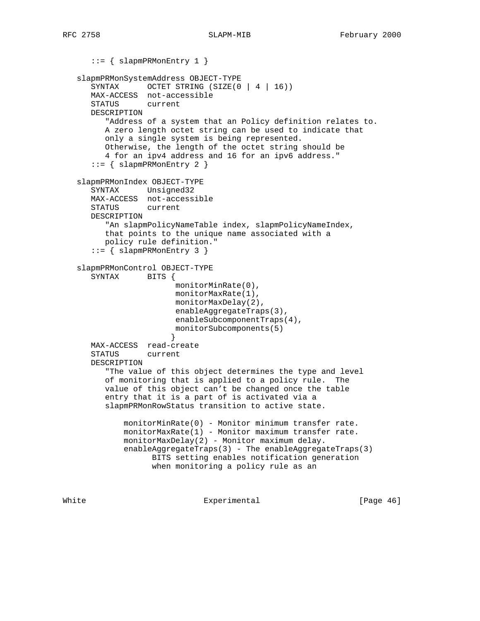```
 ::= { slapmPRMonEntry 1 }
   slapmPRMonSystemAddress OBJECT-TYPE
     SYNTAX OCTET STRING (SIZE(0 | 4 | 16))
      MAX-ACCESS not-accessible
      STATUS current
      DESCRIPTION
         "Address of a system that an Policy definition relates to.
         A zero length octet string can be used to indicate that
         only a single system is being represented.
         Otherwise, the length of the octet string should be
         4 for an ipv4 address and 16 for an ipv6 address."
       ::= { slapmPRMonEntry 2 }
   slapmPRMonIndex OBJECT-TYPE
      SYNTAX Unsigned32
      MAX-ACCESS not-accessible
      STATUS current
      DESCRIPTION
        "An slapmPolicyNameTable index, slapmPolicyNameIndex,
         that points to the unique name associated with a
         policy rule definition."
       ::= { slapmPRMonEntry 3 }
   slapmPRMonControl OBJECT-TYPE
     SYNTAX BITS {
                        monitorMinRate(0),
                        monitorMaxRate(1),
                        monitorMaxDelay(2),
                        enableAggregateTraps(3),
                        enableSubcomponentTraps(4),
                        monitorSubcomponents(5)
 }
      MAX-ACCESS read-create
      STATUS current
      DESCRIPTION
         "The value of this object determines the type and level
         of monitoring that is applied to a policy rule. The
         value of this object can't be changed once the table
         entry that it is a part of is activated via a
         slapmPRMonRowStatus transition to active state.
             monitorMinRate(0) - Monitor minimum transfer rate.
             monitorMaxRate(1) - Monitor maximum transfer rate.
            monitorMaxDelay(2) - Monitor maximum delay.
            enableAggregateTraps(3) - The enableAggregateTraps(3)
                   BITS setting enables notification generation
                   when monitoring a policy rule as an
```
White **Experimental** Experimental **EXPERIMENT** Experimental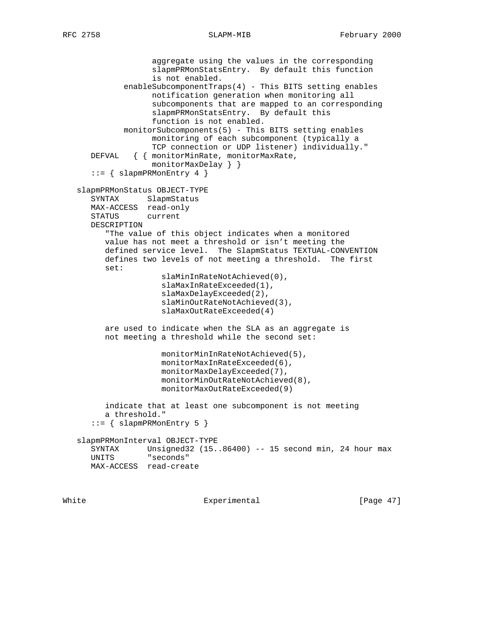aggregate using the values in the corresponding slapmPRMonStatsEntry. By default this function is not enabled. enableSubcomponentTraps(4) - This BITS setting enables notification generation when monitoring all subcomponents that are mapped to an corresponding slapmPRMonStatsEntry. By default this function is not enabled. monitorSubcomponents(5) - This BITS setting enables monitoring of each subcomponent (typically a TCP connection or UDP listener) individually." DEFVAL { { monitorMinRate, monitorMaxRate, monitorMaxDelay } }  $::=$  { slapmPRMonEntry 4 } slapmPRMonStatus OBJECT-TYPE SYNTAX SlapmStatus MAX-ACCESS read-only<br>STATUS current STATUS DESCRIPTION "The value of this object indicates when a monitored value has not meet a threshold or isn't meeting the defined service level. The SlapmStatus TEXTUAL-CONVENTION defines two levels of not meeting a threshold. The first set: slaMinInRateNotAchieved(0), slaMaxInRateExceeded(1), slaMaxDelayExceeded(2), slaMinOutRateNotAchieved(3), slaMaxOutRateExceeded(4) are used to indicate when the SLA as an aggregate is not meeting a threshold while the second set: monitorMinInRateNotAchieved(5), monitorMaxInRateExceeded(6), monitorMaxDelayExceeded(7), monitorMinOutRateNotAchieved(8), monitorMaxOutRateExceeded(9) indicate that at least one subcomponent is not meeting a threshold." ::= { slapmPRMonEntry 5 } slapmPRMonInterval OBJECT-TYPE SYNTAX Unsigned32 (15..86400) -- 15 second min, 24 hour max UNITS "seconds" MAX-ACCESS read-create

White Experimental Experimental [Page 47]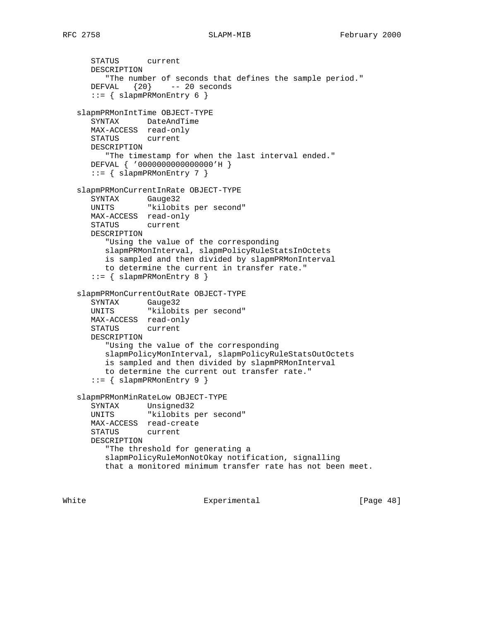```
 STATUS current
      DESCRIPTION
         "The number of seconds that defines the sample period."
      DEFVAL {20} -- 20 seconds
      ::= { slapmPRMonEntry 6 }
   slapmPRMonIntTime OBJECT-TYPE
      SYNTAX DateAndTime
      MAX-ACCESS read-only
      STATUS current
      DESCRIPTION
        "The timestamp for when the last interval ended."
      DEFVAL { '0000000000000000'H }
      ::= { slapmPRMonEntry 7 }
   slapmPRMonCurrentInRate OBJECT-TYPE
     SYNTAX Gauge32
      UNITS "kilobits per second"
      MAX-ACCESS read-only
      STATUS current
      DESCRIPTION
         "Using the value of the corresponding
         slapmPRMonInterval, slapmPolicyRuleStatsInOctets
         is sampled and then divided by slapmPRMonInterval
         to determine the current in transfer rate."
     ::= { slapmPRMonEntry 8 }
   slapmPRMonCurrentOutRate OBJECT-TYPE
 SYNTAX Gauge32
 UNITS "kilobits per second"
      MAX-ACCESS read-only
      STATUS current
      DESCRIPTION
         "Using the value of the corresponding
         slapmPolicyMonInterval, slapmPolicyRuleStatsOutOctets
         is sampled and then divided by slapmPRMonInterval
         to determine the current out transfer rate."
      ::= { \} slapmPRMonEntry 9 }
   slapmPRMonMinRateLow OBJECT-TYPE
 SYNTAX Unsigned32
 UNITS "kilobits per second"
      MAX-ACCESS read-create
      STATUS current
      DESCRIPTION
         "The threshold for generating a
         slapmPolicyRuleMonNotOkay notification, signalling
         that a monitored minimum transfer rate has not been meet.
```
White Experimental Experimental [Page 48]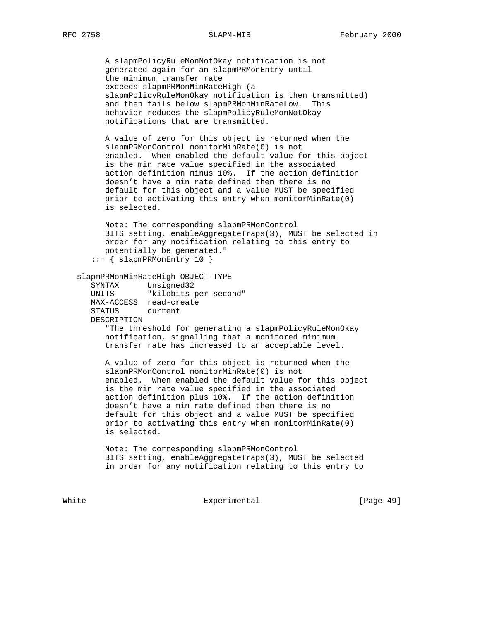A slapmPolicyRuleMonNotOkay notification is not generated again for an slapmPRMonEntry until the minimum transfer rate exceeds slapmPRMonMinRateHigh (a slapmPolicyRuleMonOkay notification is then transmitted) and then fails below slapmPRMonMinRateLow. This behavior reduces the slapmPolicyRuleMonNotOkay notifications that are transmitted.

 A value of zero for this object is returned when the slapmPRMonControl monitorMinRate(0) is not enabled. When enabled the default value for this object is the min rate value specified in the associated action definition minus 10%. If the action definition doesn't have a min rate defined then there is no default for this object and a value MUST be specified prior to activating this entry when monitorMinRate(0) is selected.

 Note: The corresponding slapmPRMonControl BITS setting, enableAggregateTraps(3), MUST be selected in order for any notification relating to this entry to potentially be generated."

::= { slapmPRMonEntry 10 }

### slapmPRMonMinRateHigh OBJECT-TYPE

 SYNTAX Unsigned32 UNITS "kilobits per second" MAX-ACCESS read-create STATUS current DESCRIPTION

> "The threshold for generating a slapmPolicyRuleMonOkay notification, signalling that a monitored minimum transfer rate has increased to an acceptable level.

 A value of zero for this object is returned when the slapmPRMonControl monitorMinRate(0) is not enabled. When enabled the default value for this object is the min rate value specified in the associated action definition plus 10%. If the action definition doesn't have a min rate defined then there is no default for this object and a value MUST be specified prior to activating this entry when monitorMinRate(0) is selected.

 Note: The corresponding slapmPRMonControl BITS setting, enableAggregateTraps(3), MUST be selected in order for any notification relating to this entry to

White Experimental Experimental [Page 49]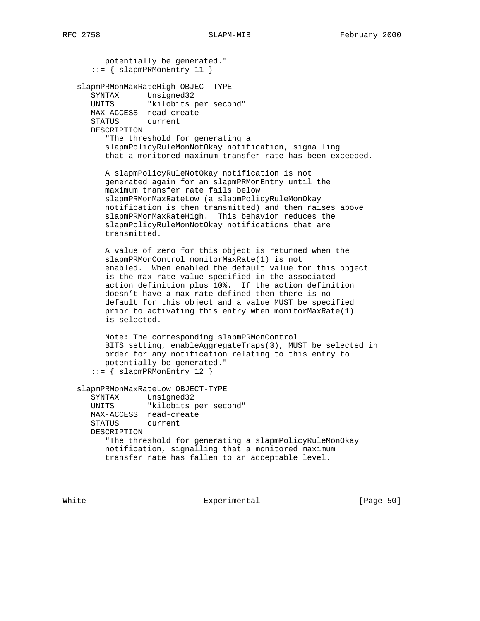potentially be generated."  $::=$  { slapmPRMonEntry 11 } slapmPRMonMaxRateHigh OBJECT-TYPE SYNTAX Unsigned32 UNITS "kilobits per second" MAX-ACCESS read-create STATUS current DESCRIPTION "The threshold for generating a slapmPolicyRuleMonNotOkay notification, signalling that a monitored maximum transfer rate has been exceeded. A slapmPolicyRuleNotOkay notification is not generated again for an slapmPRMonEntry until the maximum transfer rate fails below slapmPRMonMaxRateLow (a slapmPolicyRuleMonOkay notification is then transmitted) and then raises above slapmPRMonMaxRateHigh. This behavior reduces the slapmPolicyRuleMonNotOkay notifications that are transmitted. A value of zero for this object is returned when the slapmPRMonControl monitorMaxRate(1) is not enabled. When enabled the default value for this object is the max rate value specified in the associated action definition plus 10%. If the action definition doesn't have a max rate defined then there is no default for this object and a value MUST be specified prior to activating this entry when monitorMaxRate(1) is selected. Note: The corresponding slapmPRMonControl BITS setting, enableAggregateTraps(3), MUST be selected in order for any notification relating to this entry to potentially be generated." ::= { slapmPRMonEntry 12 } slapmPRMonMaxRateLow OBJECT-TYPE SYNTAX Unsigned32 UNITS "kilobits per second" MAX-ACCESS read-create

 STATUS current DESCRIPTION "The threshold for generating a slapmPolicyRuleMonOkay notification, signalling that a monitored maximum transfer rate has fallen to an acceptable level.

White **Experimental** Experimental **EXPERIMENT** Experimental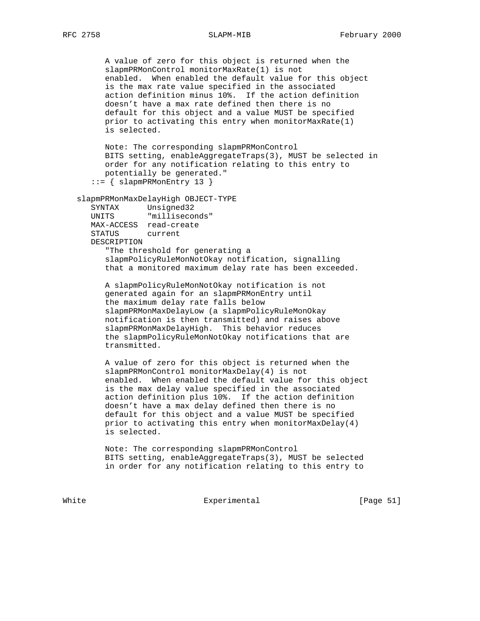A value of zero for this object is returned when the slapmPRMonControl monitorMaxRate(1) is not enabled. When enabled the default value for this object is the max rate value specified in the associated action definition minus 10%. If the action definition doesn't have a max rate defined then there is no default for this object and a value MUST be specified prior to activating this entry when monitorMaxRate(1) is selected. Note: The corresponding slapmPRMonControl BITS setting, enableAggregateTraps(3), MUST be selected in order for any notification relating to this entry to potentially be generated." ::= { slapmPRMonEntry 13 } slapmPRMonMaxDelayHigh OBJECT-TYPE SYNTAX Unsigned32<br>UNITS "milliseco "milliseconds" MAX-ACCESS read-create STATUS current DESCRIPTION "The threshold for generating a slapmPolicyRuleMonNotOkay notification, signalling that a monitored maximum delay rate has been exceeded. A slapmPolicyRuleMonNotOkay notification is not generated again for an slapmPRMonEntry until the maximum delay rate falls below slapmPRMonMaxDelayLow (a slapmPolicyRuleMonOkay notification is then transmitted) and raises above slapmPRMonMaxDelayHigh. This behavior reduces the slapmPolicyRuleMonNotOkay notifications that are transmitted. A value of zero for this object is returned when the slapmPRMonControl monitorMaxDelay(4) is not enabled. When enabled the default value for this object

 is the max delay value specified in the associated action definition plus 10%. If the action definition doesn't have a max delay defined then there is no default for this object and a value MUST be specified prior to activating this entry when monitorMaxDelay(4) is selected.

 Note: The corresponding slapmPRMonControl BITS setting, enableAggregateTraps(3), MUST be selected in order for any notification relating to this entry to

White Experimental Experimental [Page 51]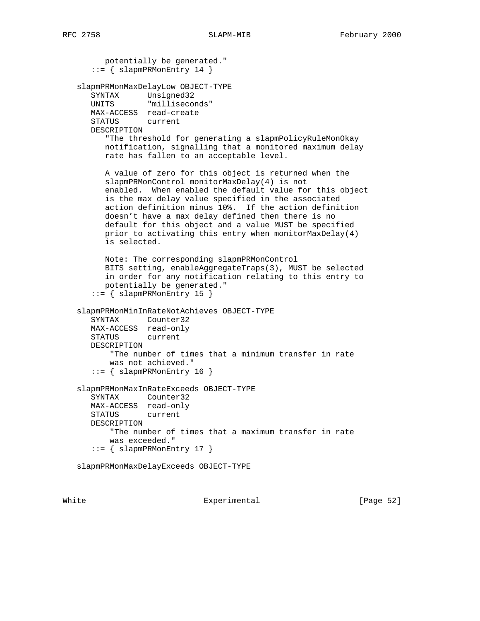```
 potentially be generated."
   ::= { slapmPRMonEntry 14 }
 slapmPRMonMaxDelayLow OBJECT-TYPE
   SYNTAX Unsigned32
   UNITS "milliseconds"
   MAX-ACCESS read-create
   STATUS current
   DESCRIPTION
       "The threshold for generating a slapmPolicyRuleMonOkay
      notification, signalling that a monitored maximum delay
      rate has fallen to an acceptable level.
      A value of zero for this object is returned when the
      slapmPRMonControl monitorMaxDelay(4) is not
      enabled. When enabled the default value for this object
      is the max delay value specified in the associated
      action definition minus 10%. If the action definition
      doesn't have a max delay defined then there is no
      default for this object and a value MUST be specified
      prior to activating this entry when monitorMaxDelay(4)
      is selected.
      Note: The corresponding slapmPRMonControl
      BITS setting, enableAggregateTraps(3), MUST be selected
      in order for any notification relating to this entry to
      potentially be generated."
    ::= { slapmPRMonEntry 15 }
 slapmPRMonMinInRateNotAchieves OBJECT-TYPE
   SYNTAX Counter32
   MAX-ACCESS read-only
   STATUS current
    DESCRIPTION
       "The number of times that a minimum transfer in rate
       was not achieved."
    ::= { slapmPRMonEntry 16 }
 slapmPRMonMaxInRateExceeds OBJECT-TYPE
    SYNTAX Counter32
   MAX-ACCESS read-only
   STATUS current
   DESCRIPTION
       "The number of times that a maximum transfer in rate
       was exceeded."
    ::= { slapmPRMonEntry 17 }
 slapmPRMonMaxDelayExceeds OBJECT-TYPE
```
White Experimental Experimental [Page 52]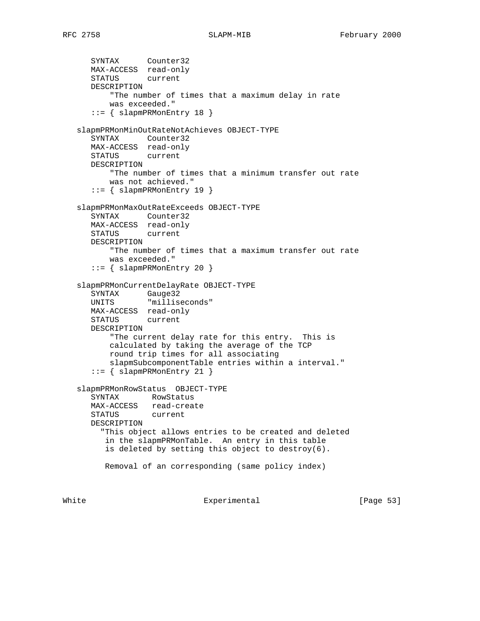```
 SYNTAX Counter32
      MAX-ACCESS read-only
      STATUS current
      DESCRIPTION
          "The number of times that a maximum delay in rate
          was exceeded."
      ::= { slapmPRMonEntry 18 }
   slapmPRMonMinOutRateNotAchieves OBJECT-TYPE
      SYNTAX Counter32
      MAX-ACCESS read-only
      STATUS current
      DESCRIPTION
          "The number of times that a minimum transfer out rate
          was not achieved."
      ::= { slapmPRMonEntry 19 }
   slapmPRMonMaxOutRateExceeds OBJECT-TYPE
      SYNTAX Counter32
      MAX-ACCESS read-only
      STATUS current
      DESCRIPTION
          "The number of times that a maximum transfer out rate
          was exceeded."
      ::= { slapmPRMonEntry 20 }
   slapmPRMonCurrentDelayRate OBJECT-TYPE
 SYNTAX Gauge32
 UNITS "milliseconds"
      MAX-ACCESS read-only
      STATUS current
      DESCRIPTION
          "The current delay rate for this entry. This is
          calculated by taking the average of the TCP
          round trip times for all associating
          slapmSubcomponentTable entries within a interval."
      ::= { slapmPRMonEntry 21 }
   slapmPRMonRowStatus OBJECT-TYPE
      SYNTAX RowStatus
      MAX-ACCESS read-create
      STATUS current
      DESCRIPTION
        "This object allows entries to be created and deleted
         in the slapmPRMonTable. An entry in this table
         is deleted by setting this object to destroy(6).
         Removal of an corresponding (same policy index)
```
White **Experimental** Experimental [Page 53]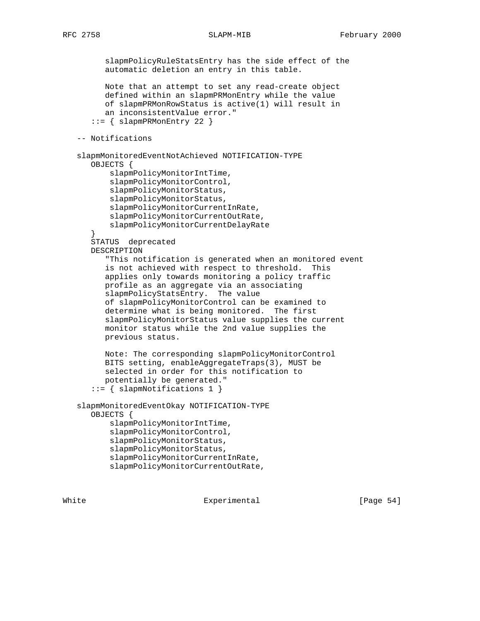slapmPolicyRuleStatsEntry has the side effect of the automatic deletion an entry in this table. Note that an attempt to set any read-create object defined within an slapmPRMonEntry while the value of slapmPRMonRowStatus is active(1) will result in an inconsistentValue error."  $::=$  { slapmPRMonEntry 22 } -- Notifications slapmMonitoredEventNotAchieved NOTIFICATION-TYPE OBJECTS { slapmPolicyMonitorIntTime, slapmPolicyMonitorControl, slapmPolicyMonitorStatus, slapmPolicyMonitorStatus, slapmPolicyMonitorCurrentInRate, slapmPolicyMonitorCurrentOutRate, slapmPolicyMonitorCurrentDelayRate } STATUS deprecated DESCRIPTION "This notification is generated when an monitored event is not achieved with respect to threshold. This applies only towards monitoring a policy traffic profile as an aggregate via an associating slapmPolicyStatsEntry. The value of slapmPolicyMonitorControl can be examined to determine what is being monitored. The first slapmPolicyMonitorStatus value supplies the current monitor status while the 2nd value supplies the previous status. Note: The corresponding slapmPolicyMonitorControl BITS setting, enableAggregateTraps(3), MUST be selected in order for this notification to potentially be generated." ::= { slapmNotifications 1 } slapmMonitoredEventOkay NOTIFICATION-TYPE OBJECTS { slapmPolicyMonitorIntTime, slapmPolicyMonitorControl, slapmPolicyMonitorStatus, slapmPolicyMonitorStatus, slapmPolicyMonitorCurrentInRate, slapmPolicyMonitorCurrentOutRate,

White **Experimental** Experimental [Page 54]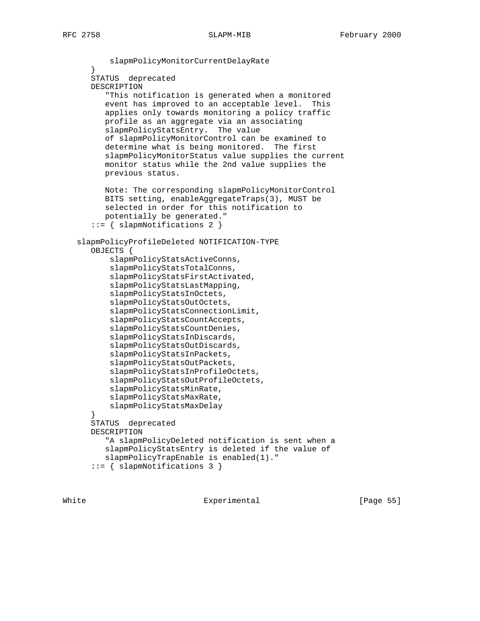slapmPolicyMonitorCurrentDelayRate } STATUS deprecated DESCRIPTION "This notification is generated when a monitored event has improved to an acceptable level. This applies only towards monitoring a policy traffic profile as an aggregate via an associating slapmPolicyStatsEntry. The value of slapmPolicyMonitorControl can be examined to determine what is being monitored. The first slapmPolicyMonitorStatus value supplies the current monitor status while the 2nd value supplies the previous status. Note: The corresponding slapmPolicyMonitorControl BITS setting, enableAggregateTraps(3), MUST be selected in order for this notification to potentially be generated." ::= { slapmNotifications 2 } slapmPolicyProfileDeleted NOTIFICATION-TYPE OBJECTS { slapmPolicyStatsActiveConns, slapmPolicyStatsTotalConns, slapmPolicyStatsFirstActivated, slapmPolicyStatsLastMapping, slapmPolicyStatsInOctets, slapmPolicyStatsOutOctets, slapmPolicyStatsConnectionLimit, slapmPolicyStatsCountAccepts, slapmPolicyStatsCountDenies, slapmPolicyStatsInDiscards, slapmPolicyStatsOutDiscards, slapmPolicyStatsInPackets, slapmPolicyStatsOutPackets, slapmPolicyStatsInProfileOctets, slapmPolicyStatsOutProfileOctets, slapmPolicyStatsMinRate, slapmPolicyStatsMaxRate, slapmPolicyStatsMaxDelay } STATUS deprecated DESCRIPTION "A slapmPolicyDeleted notification is sent when a slapmPolicyStatsEntry is deleted if the value of slapmPolicyTrapEnable is enabled(1)." ::= { slapmNotifications 3 }

White Experimental [Page 55]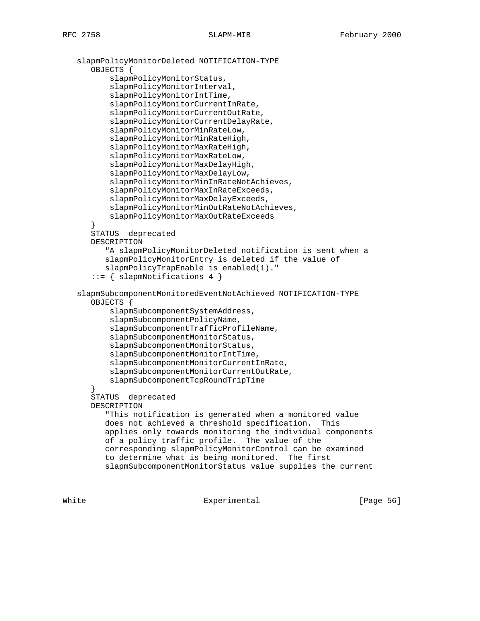```
 slapmPolicyMonitorDeleted NOTIFICATION-TYPE
       OBJECTS {
           slapmPolicyMonitorStatus,
           slapmPolicyMonitorInterval,
           slapmPolicyMonitorIntTime,
           slapmPolicyMonitorCurrentInRate,
           slapmPolicyMonitorCurrentOutRate,
           slapmPolicyMonitorCurrentDelayRate,
           slapmPolicyMonitorMinRateLow,
           slapmPolicyMonitorMinRateHigh,
           slapmPolicyMonitorMaxRateHigh,
           slapmPolicyMonitorMaxRateLow,
           slapmPolicyMonitorMaxDelayHigh,
           slapmPolicyMonitorMaxDelayLow,
           slapmPolicyMonitorMinInRateNotAchieves,
           slapmPolicyMonitorMaxInRateExceeds,
           slapmPolicyMonitorMaxDelayExceeds,
           slapmPolicyMonitorMinOutRateNotAchieves,
           slapmPolicyMonitorMaxOutRateExceeds
 }
       STATUS deprecated
       DESCRIPTION
          "A slapmPolicyMonitorDeleted notification is sent when a
          slapmPolicyMonitorEntry is deleted if the value of
          slapmPolicyTrapEnable is enabled(1)."
       ::= { slapmNotifications 4 }
   slapmSubcomponentMonitoredEventNotAchieved NOTIFICATION-TYPE
       OBJECTS {
           slapmSubcomponentSystemAddress,
           slapmSubcomponentPolicyName,
           slapmSubcomponentTrafficProfileName,
           slapmSubcomponentMonitorStatus,
           slapmSubcomponentMonitorStatus,
           slapmSubcomponentMonitorIntTime,
           slapmSubcomponentMonitorCurrentInRate,
           slapmSubcomponentMonitorCurrentOutRate,
           slapmSubcomponentTcpRoundTripTime
       }
       STATUS deprecated
       DESCRIPTION
          "This notification is generated when a monitored value
          does not achieved a threshold specification. This
          applies only towards monitoring the individual components
          of a policy traffic profile. The value of the
          corresponding slapmPolicyMonitorControl can be examined
          to determine what is being monitored. The first
          slapmSubcomponentMonitorStatus value supplies the current
```
White **Experimental** Experimental **EXPERIMENT** Experimental **EXPERIMENT** EXP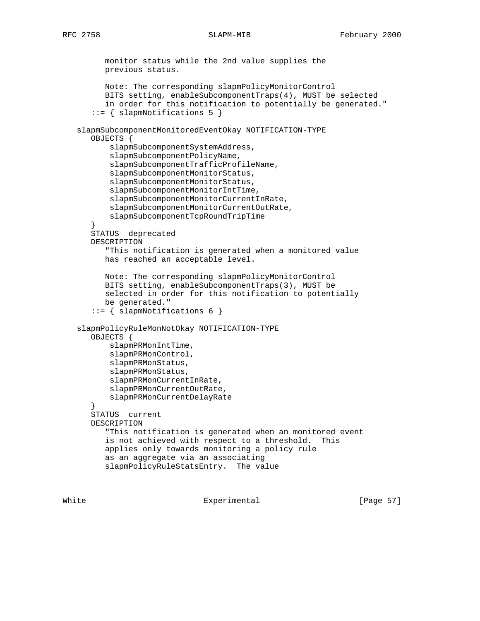monitor status while the 2nd value supplies the previous status. Note: The corresponding slapmPolicyMonitorControl BITS setting, enableSubcomponentTraps(4), MUST be selected in order for this notification to potentially be generated." ::= { slapmNotifications 5 } slapmSubcomponentMonitoredEventOkay NOTIFICATION-TYPE OBJECTS { slapmSubcomponentSystemAddress, slapmSubcomponentPolicyName, slapmSubcomponentTrafficProfileName, slapmSubcomponentMonitorStatus, slapmSubcomponentMonitorStatus, slapmSubcomponentMonitorIntTime, slapmSubcomponentMonitorCurrentInRate, slapmSubcomponentMonitorCurrentOutRate, slapmSubcomponentTcpRoundTripTime } STATUS deprecated DESCRIPTION "This notification is generated when a monitored value has reached an acceptable level. Note: The corresponding slapmPolicyMonitorControl BITS setting, enableSubcomponentTraps(3), MUST be selected in order for this notification to potentially be generated." ::= { slapmNotifications 6 } slapmPolicyRuleMonNotOkay NOTIFICATION-TYPE OBJECTS { slapmPRMonIntTime, slapmPRMonControl, slapmPRMonStatus, slapmPRMonStatus, slapmPRMonCurrentInRate, slapmPRMonCurrentOutRate, slapmPRMonCurrentDelayRate } STATUS current DESCRIPTION "This notification is generated when an monitored event is not achieved with respect to a threshold. This applies only towards monitoring a policy rule as an aggregate via an associating slapmPolicyRuleStatsEntry. The value

White Experimental Experimental [Page 57]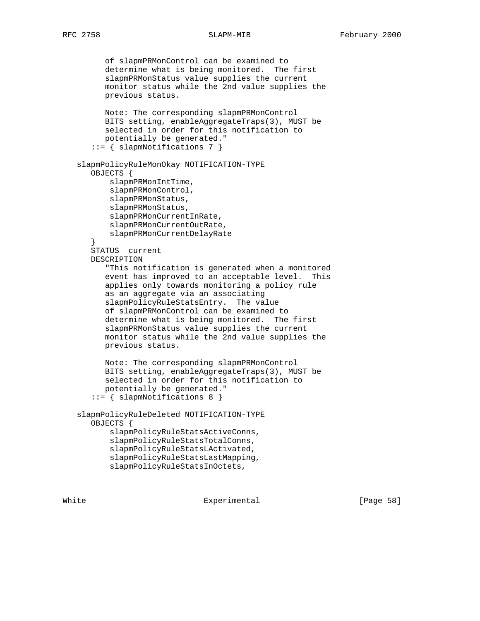of slapmPRMonControl can be examined to determine what is being monitored. The first slapmPRMonStatus value supplies the current monitor status while the 2nd value supplies the previous status. Note: The corresponding slapmPRMonControl BITS setting, enableAggregateTraps(3), MUST be selected in order for this notification to potentially be generated." ::= { slapmNotifications 7 } slapmPolicyRuleMonOkay NOTIFICATION-TYPE OBJECTS { slapmPRMonIntTime, slapmPRMonControl, slapmPRMonStatus, slapmPRMonStatus, slapmPRMonCurrentInRate, slapmPRMonCurrentOutRate, slapmPRMonCurrentDelayRate } STATUS current DESCRIPTION "This notification is generated when a monitored event has improved to an acceptable level. This applies only towards monitoring a policy rule as an aggregate via an associating slapmPolicyRuleStatsEntry. The value of slapmPRMonControl can be examined to determine what is being monitored. The first slapmPRMonStatus value supplies the current monitor status while the 2nd value supplies the previous status. Note: The corresponding slapmPRMonControl BITS setting, enableAggregateTraps(3), MUST be selected in order for this notification to potentially be generated." ::= { slapmNotifications 8 } slapmPolicyRuleDeleted NOTIFICATION-TYPE OBJECTS { slapmPolicyRuleStatsActiveConns, slapmPolicyRuleStatsTotalConns, slapmPolicyRuleStatsLActivated, slapmPolicyRuleStatsLastMapping, slapmPolicyRuleStatsInOctets,

White **Experimental** Experimental **EXPERIMENT** Experimental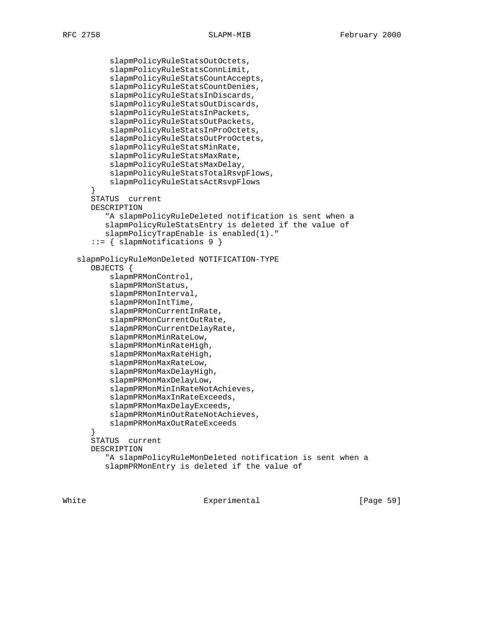```
 slapmPolicyRuleStatsOutOctets,
           slapmPolicyRuleStatsConnLimit,
           slapmPolicyRuleStatsCountAccepts,
           slapmPolicyRuleStatsCountDenies,
           slapmPolicyRuleStatsInDiscards,
           slapmPolicyRuleStatsOutDiscards,
           slapmPolicyRuleStatsInPackets,
           slapmPolicyRuleStatsOutPackets,
           slapmPolicyRuleStatsInProOctets,
           slapmPolicyRuleStatsOutProOctets,
           slapmPolicyRuleStatsMinRate,
           slapmPolicyRuleStatsMaxRate,
           slapmPolicyRuleStatsMaxDelay,
           slapmPolicyRuleStatsTotalRsvpFlows,
           slapmPolicyRuleStatsActRsvpFlows
 }
       STATUS current
       DESCRIPTION
          "A slapmPolicyRuleDeleted notification is sent when a
          slapmPolicyRuleStatsEntry is deleted if the value of
          slapmPolicyTrapEnable is enabled(1)."
       ::= { slapmNotifications 9 }
   slapmPolicyRuleMonDeleted NOTIFICATION-TYPE
       OBJECTS {
           slapmPRMonControl,
           slapmPRMonStatus,
           slapmPRMonInterval,
           slapmPRMonIntTime,
           slapmPRMonCurrentInRate,
           slapmPRMonCurrentOutRate,
           slapmPRMonCurrentDelayRate,
           slapmPRMonMinRateLow,
           slapmPRMonMinRateHigh,
           slapmPRMonMaxRateHigh,
           slapmPRMonMaxRateLow,
           slapmPRMonMaxDelayHigh,
           slapmPRMonMaxDelayLow,
           slapmPRMonMinInRateNotAchieves,
           slapmPRMonMaxInRateExceeds,
           slapmPRMonMaxDelayExceeds,
           slapmPRMonMinOutRateNotAchieves,
           slapmPRMonMaxOutRateExceeds
 }
       STATUS current
       DESCRIPTION
          "A slapmPolicyRuleMonDeleted notification is sent when a
          slapmPRMonEntry is deleted if the value of
```
White **Experimental** Experimental **EXPERIMEL** ENGINEER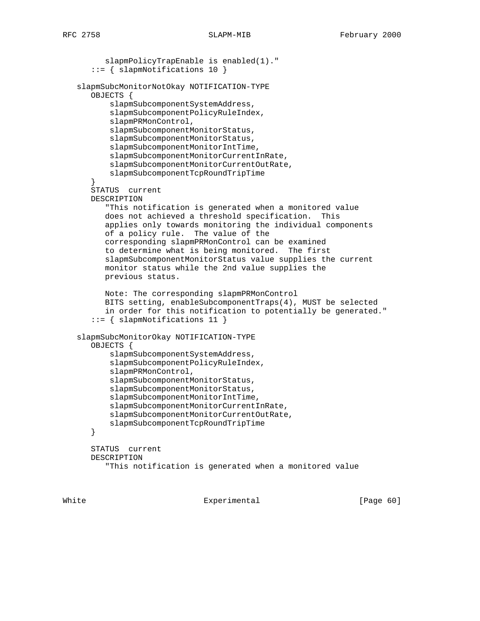slapmPolicyTrapEnable is enabled(1)." ::= { slapmNotifications 10 } slapmSubcMonitorNotOkay NOTIFICATION-TYPE OBJECTS { slapmSubcomponentSystemAddress, slapmSubcomponentPolicyRuleIndex, slapmPRMonControl, slapmSubcomponentMonitorStatus, slapmSubcomponentMonitorStatus, slapmSubcomponentMonitorIntTime, slapmSubcomponentMonitorCurrentInRate, slapmSubcomponentMonitorCurrentOutRate, slapmSubcomponentTcpRoundTripTime } STATUS current DESCRIPTION "This notification is generated when a monitored value does not achieved a threshold specification. This applies only towards monitoring the individual components of a policy rule. The value of the corresponding slapmPRMonControl can be examined to determine what is being monitored. The first slapmSubcomponentMonitorStatus value supplies the current monitor status while the 2nd value supplies the previous status. Note: The corresponding slapmPRMonControl BITS setting, enableSubcomponentTraps(4), MUST be selected in order for this notification to potentially be generated." ::= { slapmNotifications 11 } slapmSubcMonitorOkay NOTIFICATION-TYPE OBJECTS { slapmSubcomponentSystemAddress, slapmSubcomponentPolicyRuleIndex, slapmPRMonControl, slapmSubcomponentMonitorStatus, slapmSubcomponentMonitorStatus, slapmSubcomponentMonitorIntTime, slapmSubcomponentMonitorCurrentInRate, slapmSubcomponentMonitorCurrentOutRate, slapmSubcomponentTcpRoundTripTime } STATUS current DESCRIPTION "This notification is generated when a monitored value

White **Experimental** Experimental **EXPERIMENT** Experimental **EXPERIMENT** EXP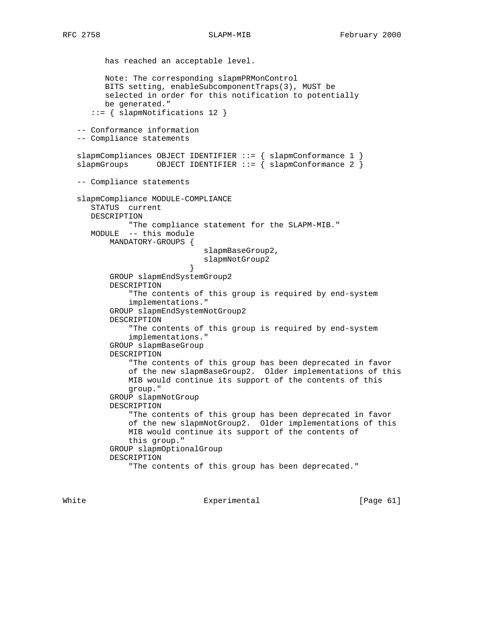```
RFC 2758 SLAPM-MIB SERPT-MID February 2000
```
 has reached an acceptable level. Note: The corresponding slapmPRMonControl BITS setting, enableSubcomponentTraps(3), MUST be selected in order for this notification to potentially be generated." ::= { slapmNotifications 12 } -- Conformance information -- Compliance statements slapmCompliances OBJECT IDENTIFIER ::= { slapmConformance 1 } slapmGroups OBJECT IDENTIFIER  $::=$   $\{$  slapmConformance 2  $\}$  -- Compliance statements slapmCompliance MODULE-COMPLIANCE STATUS current DESCRIPTION "The compliance statement for the SLAPM-MIB." MODULE -- this module MANDATORY-GROUPS { slapmBaseGroup2, slapmNotGroup2<br>} } GROUP slapmEndSystemGroup2 DESCRIPTION "The contents of this group is required by end-system implementations." GROUP slapmEndSystemNotGroup2 DESCRIPTION "The contents of this group is required by end-system implementations." GROUP slapmBaseGroup DESCRIPTION "The contents of this group has been deprecated in favor of the new slapmBaseGroup2. Older implementations of this MIB would continue its support of the contents of this group." GROUP slapmNotGroup DESCRIPTION "The contents of this group has been deprecated in favor of the new slapmNotGroup2. Older implementations of this MIB would continue its support of the contents of this group." GROUP slapmOptionalGroup DESCRIPTION "The contents of this group has been deprecated."

White Experimental Experimental [Page 61]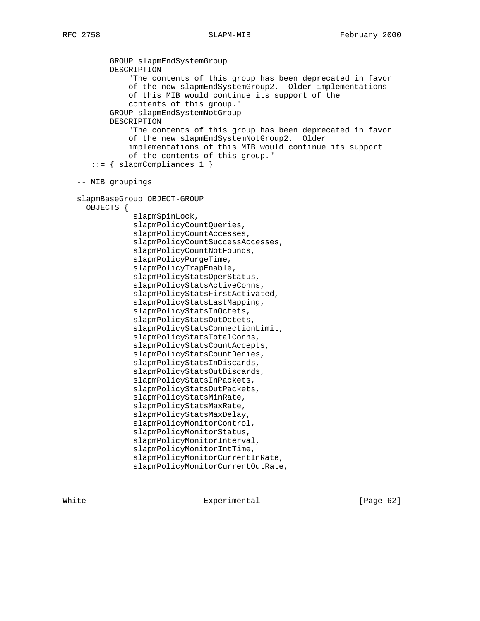GROUP slapmEndSystemGroup DESCRIPTION "The contents of this group has been deprecated in favor of the new slapmEndSystemGroup2. Older implementations of this MIB would continue its support of the contents of this group." GROUP slapmEndSystemNotGroup DESCRIPTION "The contents of this group has been deprecated in favor of the new slapmEndSystemNotGroup2. Older implementations of this MIB would continue its support of the contents of this group." ::= { slapmCompliances 1 } -- MIB groupings slapmBaseGroup OBJECT-GROUP OBJECTS { slapmSpinLock, slapmPolicyCountQueries, slapmPolicyCountAccesses, slapmPolicyCountSuccessAccesses, slapmPolicyCountNotFounds, slapmPolicyPurgeTime, slapmPolicyTrapEnable, slapmPolicyStatsOperStatus, slapmPolicyStatsActiveConns, slapmPolicyStatsFirstActivated, slapmPolicyStatsLastMapping, slapmPolicyStatsInOctets, slapmPolicyStatsOutOctets, slapmPolicyStatsConnectionLimit, slapmPolicyStatsTotalConns, slapmPolicyStatsCountAccepts, slapmPolicyStatsCountDenies, slapmPolicyStatsInDiscards, slapmPolicyStatsOutDiscards, slapmPolicyStatsInPackets, slapmPolicyStatsOutPackets, slapmPolicyStatsMinRate, slapmPolicyStatsMaxRate, slapmPolicyStatsMaxDelay, slapmPolicyMonitorControl, slapmPolicyMonitorStatus, slapmPolicyMonitorInterval, slapmPolicyMonitorIntTime, slapmPolicyMonitorCurrentInRate, slapmPolicyMonitorCurrentOutRate,

White Experimental Experimental [Page 62]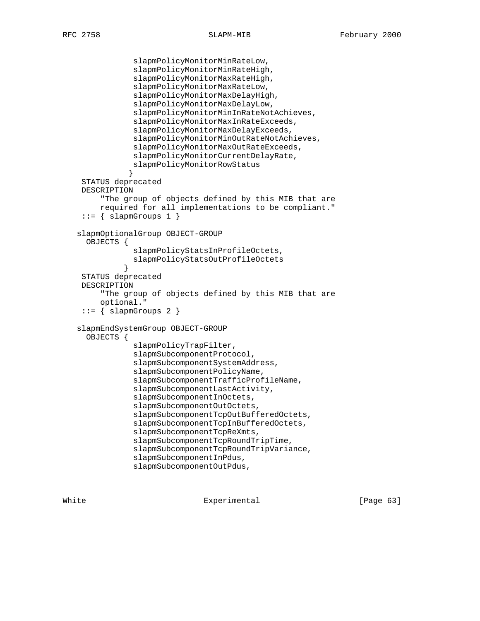```
 slapmPolicyMonitorMinRateLow,
                slapmPolicyMonitorMinRateHigh,
                slapmPolicyMonitorMaxRateHigh,
                slapmPolicyMonitorMaxRateLow,
                slapmPolicyMonitorMaxDelayHigh,
                slapmPolicyMonitorMaxDelayLow,
                slapmPolicyMonitorMinInRateNotAchieves,
                slapmPolicyMonitorMaxInRateExceeds,
                slapmPolicyMonitorMaxDelayExceeds,
                slapmPolicyMonitorMinOutRateNotAchieves,
                slapmPolicyMonitorMaxOutRateExceeds,
                slapmPolicyMonitorCurrentDelayRate,
                slapmPolicyMonitorRowStatus
 }
     STATUS deprecated
    DESCRIPTION
         "The group of objects defined by this MIB that are
        required for all implementations to be compliant."
     ::= \{ \text{slapmGroups 1 } \} slapmOptionalGroup OBJECT-GROUP
      OBJECTS {
                slapmPolicyStatsInProfileOctets,
                slapmPolicyStatsOutProfileOctets
 }
     STATUS deprecated
    DESCRIPTION
         "The group of objects defined by this MIB that are
         optional."
    ::= { slapmGroups 2 }
   slapmEndSystemGroup OBJECT-GROUP
      OBJECTS {
                slapmPolicyTrapFilter,
                slapmSubcomponentProtocol,
                slapmSubcomponentSystemAddress,
                slapmSubcomponentPolicyName,
                slapmSubcomponentTrafficProfileName,
                slapmSubcomponentLastActivity,
                slapmSubcomponentInOctets,
                slapmSubcomponentOutOctets,
                slapmSubcomponentTcpOutBufferedOctets,
                slapmSubcomponentTcpInBufferedOctets,
                slapmSubcomponentTcpReXmts,
                slapmSubcomponentTcpRoundTripTime,
                slapmSubcomponentTcpRoundTripVariance,
                slapmSubcomponentInPdus,
                slapmSubcomponentOutPdus,
```
White **Experimental** Experimental [Page 63]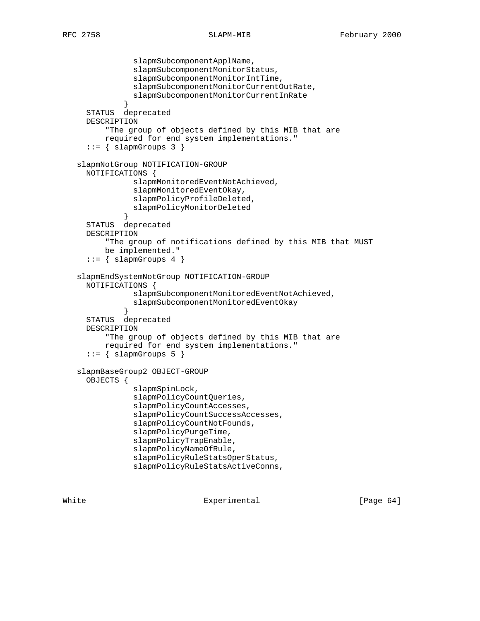```
 slapmSubcomponentApplName,
                slapmSubcomponentMonitorStatus,
                slapmSubcomponentMonitorIntTime,
                slapmSubcomponentMonitorCurrentOutRate,
                slapmSubcomponentMonitorCurrentInRate
 }
     STATUS deprecated
     DESCRIPTION
          "The group of objects defined by this MIB that are
         required for end system implementations."
     ::= \{ slapmGroups 3 \} slapmNotGroup NOTIFICATION-GROUP
     NOTIFICATIONS {
                slapmMonitoredEventNotAchieved,
                slapmMonitoredEventOkay,
                slapmPolicyProfileDeleted,
                slapmPolicyMonitorDeleted
 }
     STATUS deprecated
     DESCRIPTION
          "The group of notifications defined by this MIB that MUST
         be implemented."
     ::= { slapmGroups 4 }
   slapmEndSystemNotGroup NOTIFICATION-GROUP
     NOTIFICATIONS {
                slapmSubcomponentMonitoredEventNotAchieved,
                slapmSubcomponentMonitoredEventOkay
 }
     STATUS deprecated
     DESCRIPTION
          "The group of objects defined by this MIB that are
         required for end system implementations."
     ::= \{ slapmGroups 5 \} slapmBaseGroup2 OBJECT-GROUP
     OBJECTS {
                slapmSpinLock,
                slapmPolicyCountQueries,
                slapmPolicyCountAccesses,
                slapmPolicyCountSuccessAccesses,
                slapmPolicyCountNotFounds,
                slapmPolicyPurgeTime,
                slapmPolicyTrapEnable,
                slapmPolicyNameOfRule,
                slapmPolicyRuleStatsOperStatus,
                slapmPolicyRuleStatsActiveConns,
```
White Experimental Experimental [Page 64]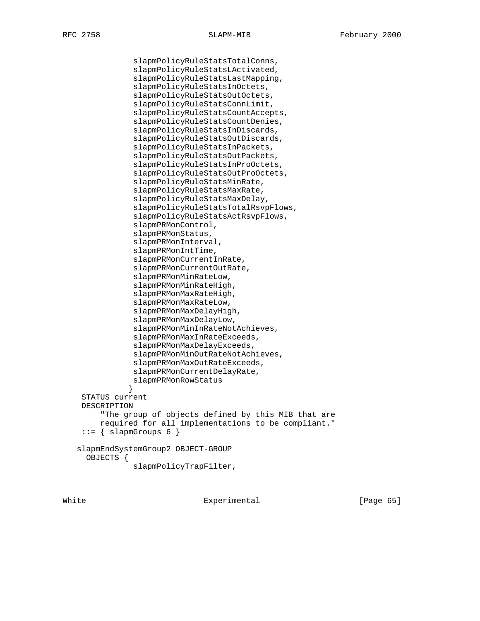```
 slapmPolicyRuleStatsTotalConns,
                slapmPolicyRuleStatsLActivated,
                slapmPolicyRuleStatsLastMapping,
                slapmPolicyRuleStatsInOctets,
                slapmPolicyRuleStatsOutOctets,
                slapmPolicyRuleStatsConnLimit,
                slapmPolicyRuleStatsCountAccepts,
                slapmPolicyRuleStatsCountDenies,
                slapmPolicyRuleStatsInDiscards,
                slapmPolicyRuleStatsOutDiscards,
                slapmPolicyRuleStatsInPackets,
                slapmPolicyRuleStatsOutPackets,
                slapmPolicyRuleStatsInProOctets,
                slapmPolicyRuleStatsOutProOctets,
                slapmPolicyRuleStatsMinRate,
                slapmPolicyRuleStatsMaxRate,
                slapmPolicyRuleStatsMaxDelay,
                slapmPolicyRuleStatsTotalRsvpFlows,
                slapmPolicyRuleStatsActRsvpFlows,
                slapmPRMonControl,
                slapmPRMonStatus,
                slapmPRMonInterval,
                slapmPRMonIntTime,
                slapmPRMonCurrentInRate,
                slapmPRMonCurrentOutRate,
                slapmPRMonMinRateLow,
                slapmPRMonMinRateHigh,
                slapmPRMonMaxRateHigh,
                slapmPRMonMaxRateLow,
                slapmPRMonMaxDelayHigh,
                slapmPRMonMaxDelayLow,
                slapmPRMonMinInRateNotAchieves,
                slapmPRMonMaxInRateExceeds,
                slapmPRMonMaxDelayExceeds,
                slapmPRMonMinOutRateNotAchieves,
                slapmPRMonMaxOutRateExceeds,
                slapmPRMonCurrentDelayRate,
                slapmPRMonRowStatus
 }
     STATUS current
     DESCRIPTION
         "The group of objects defined by this MIB that are
         required for all implementations to be compliant."
     ::= \{ \text{slapmGroups 6 } \} slapmEndSystemGroup2 OBJECT-GROUP
      OBJECTS {
                slapmPolicyTrapFilter,
```
White Experimental Experimental [Page 65]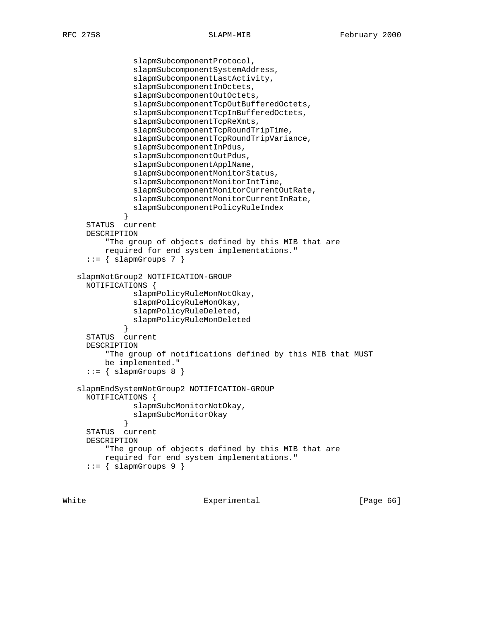```
 slapmSubcomponentProtocol,
                slapmSubcomponentSystemAddress,
                slapmSubcomponentLastActivity,
                slapmSubcomponentInOctets,
                slapmSubcomponentOutOctets,
                slapmSubcomponentTcpOutBufferedOctets,
                slapmSubcomponentTcpInBufferedOctets,
                slapmSubcomponentTcpReXmts,
                slapmSubcomponentTcpRoundTripTime,
                slapmSubcomponentTcpRoundTripVariance,
                slapmSubcomponentInPdus,
                slapmSubcomponentOutPdus,
                slapmSubcomponentApplName,
                slapmSubcomponentMonitorStatus,
                slapmSubcomponentMonitorIntTime,
                slapmSubcomponentMonitorCurrentOutRate,
                slapmSubcomponentMonitorCurrentInRate,
                slapmSubcomponentPolicyRuleIndex
 }
     STATUS current
     DESCRIPTION
          "The group of objects defined by this MIB that are
         required for end system implementations."
     ::= { slapmGroups 7 }
   slapmNotGroup2 NOTIFICATION-GROUP
     NOTIFICATIONS {
                slapmPolicyRuleMonNotOkay,
                slapmPolicyRuleMonOkay,
                slapmPolicyRuleDeleted,
                slapmPolicyRuleMonDeleted
 }
     STATUS current
     DESCRIPTION
          "The group of notifications defined by this MIB that MUST
         be implemented."
     ::= { slapmGroups 8 }
   slapmEndSystemNotGroup2 NOTIFICATION-GROUP
     NOTIFICATIONS {
                slapmSubcMonitorNotOkay,
                slapmSubcMonitorOkay
 }
     STATUS current
     DESCRIPTION
          "The group of objects defined by this MIB that are
         required for end system implementations."
     ::= { slapmGroups 9 }
```
White Experimental Experimental [Page 66]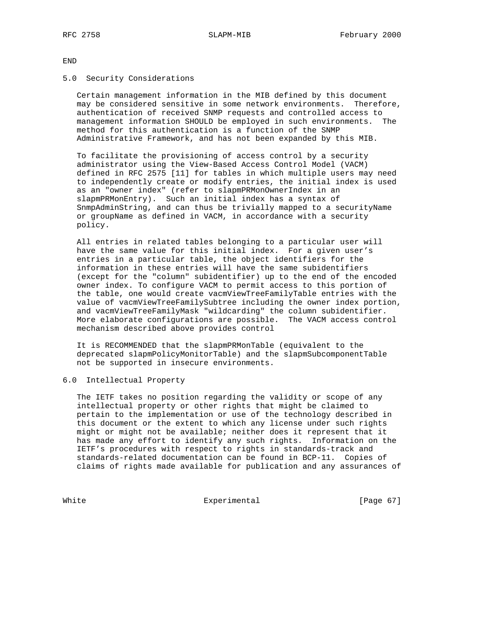END

### 5.0 Security Considerations

 Certain management information in the MIB defined by this document may be considered sensitive in some network environments. Therefore, authentication of received SNMP requests and controlled access to management information SHOULD be employed in such environments. The method for this authentication is a function of the SNMP Administrative Framework, and has not been expanded by this MIB.

 To facilitate the provisioning of access control by a security administrator using the View-Based Access Control Model (VACM) defined in RFC 2575 [11] for tables in which multiple users may need to independently create or modify entries, the initial index is used as an "owner index" (refer to slapmPRMonOwnerIndex in an slapmPRMonEntry). Such an initial index has a syntax of SnmpAdminString, and can thus be trivially mapped to a securityName or groupName as defined in VACM, in accordance with a security policy.

 All entries in related tables belonging to a particular user will have the same value for this initial index. For a given user's entries in a particular table, the object identifiers for the information in these entries will have the same subidentifiers (except for the "column" subidentifier) up to the end of the encoded owner index. To configure VACM to permit access to this portion of the table, one would create vacmViewTreeFamilyTable entries with the value of vacmViewTreeFamilySubtree including the owner index portion, and vacmViewTreeFamilyMask "wildcarding" the column subidentifier. More elaborate configurations are possible. The VACM access control mechanism described above provides control

 It is RECOMMENDED that the slapmPRMonTable (equivalent to the deprecated slapmPolicyMonitorTable) and the slapmSubcomponentTable not be supported in insecure environments.

### 6.0 Intellectual Property

 The IETF takes no position regarding the validity or scope of any intellectual property or other rights that might be claimed to pertain to the implementation or use of the technology described in this document or the extent to which any license under such rights might or might not be available; neither does it represent that it has made any effort to identify any such rights. Information on the IETF's procedures with respect to rights in standards-track and standards-related documentation can be found in BCP-11. Copies of claims of rights made available for publication and any assurances of

White Experimental Experimental [Page 67]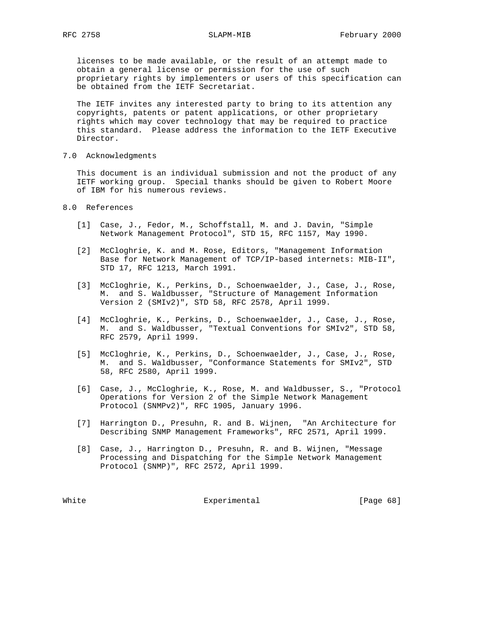licenses to be made available, or the result of an attempt made to obtain a general license or permission for the use of such proprietary rights by implementers or users of this specification can be obtained from the IETF Secretariat.

 The IETF invites any interested party to bring to its attention any copyrights, patents or patent applications, or other proprietary rights which may cover technology that may be required to practice this standard. Please address the information to the IETF Executive Director.

7.0 Acknowledgments

 This document is an individual submission and not the product of any IETF working group. Special thanks should be given to Robert Moore of IBM for his numerous reviews.

## 8.0 References

- [1] Case, J., Fedor, M., Schoffstall, M. and J. Davin, "Simple Network Management Protocol", STD 15, RFC 1157, May 1990.
- [2] McCloghrie, K. and M. Rose, Editors, "Management Information Base for Network Management of TCP/IP-based internets: MIB-II", STD 17, RFC 1213, March 1991.
- [3] McCloghrie, K., Perkins, D., Schoenwaelder, J., Case, J., Rose, M. and S. Waldbusser, "Structure of Management Information Version 2 (SMIv2)", STD 58, RFC 2578, April 1999.
- [4] McCloghrie, K., Perkins, D., Schoenwaelder, J., Case, J., Rose, M. and S. Waldbusser, "Textual Conventions for SMIv2", STD 58, RFC 2579, April 1999.
- [5] McCloghrie, K., Perkins, D., Schoenwaelder, J., Case, J., Rose, M. and S. Waldbusser, "Conformance Statements for SMIv2", STD 58, RFC 2580, April 1999.
- [6] Case, J., McCloghrie, K., Rose, M. and Waldbusser, S., "Protocol Operations for Version 2 of the Simple Network Management Protocol (SNMPv2)", RFC 1905, January 1996.
- [7] Harrington D., Presuhn, R. and B. Wijnen, "An Architecture for Describing SNMP Management Frameworks", RFC 2571, April 1999.
- [8] Case, J., Harrington D., Presuhn, R. and B. Wijnen, "Message Processing and Dispatching for the Simple Network Management Protocol (SNMP)", RFC 2572, April 1999.

White Experimental Experimental [Page 68]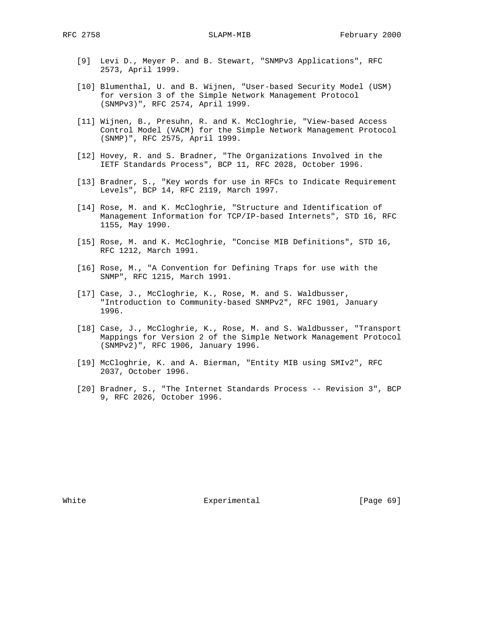- [9] Levi D., Meyer P. and B. Stewart, "SNMPv3 Applications", RFC 2573, April 1999.
- [10] Blumenthal, U. and B. Wijnen, "User-based Security Model (USM) for version 3 of the Simple Network Management Protocol (SNMPv3)", RFC 2574, April 1999.
- [11] Wijnen, B., Presuhn, R. and K. McCloghrie, "View-based Access Control Model (VACM) for the Simple Network Management Protocol (SNMP)", RFC 2575, April 1999.
- [12] Hovey, R. and S. Bradner, "The Organizations Involved in the IETF Standards Process", BCP 11, RFC 2028, October 1996.
- [13] Bradner, S., "Key words for use in RFCs to Indicate Requirement Levels", BCP 14, RFC 2119, March 1997.
- [14] Rose, M. and K. McCloghrie, "Structure and Identification of Management Information for TCP/IP-based Internets", STD 16, RFC 1155, May 1990.
- [15] Rose, M. and K. McCloghrie, "Concise MIB Definitions", STD 16, RFC 1212, March 1991.
- [16] Rose, M., "A Convention for Defining Traps for use with the SNMP", RFC 1215, March 1991.
- [17] Case, J., McCloghrie, K., Rose, M. and S. Waldbusser, "Introduction to Community-based SNMPv2", RFC 1901, January 1996.
- [18] Case, J., McCloghrie, K., Rose, M. and S. Waldbusser, "Transport Mappings for Version 2 of the Simple Network Management Protocol (SNMPv2)", RFC 1906, January 1996.
- [19] McCloghrie, K. and A. Bierman, "Entity MIB using SMIv2", RFC 2037, October 1996.
- [20] Bradner, S., "The Internet Standards Process -- Revision 3", BCP 9, RFC 2026, October 1996.

White **Experimental** Experimental [Page 69]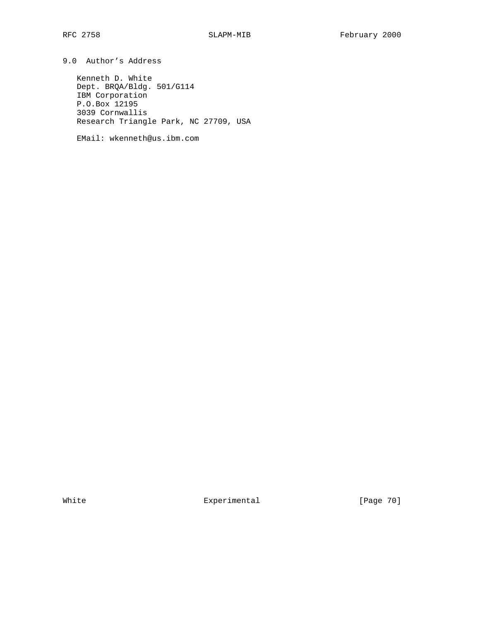9.0 Author's Address

 Kenneth D. White Dept. BRQA/Bldg. 501/G114 IBM Corporation P.O.Box 12195 3039 Cornwallis Research Triangle Park, NC 27709, USA

EMail: wkenneth@us.ibm.com

White Experimental Experimental [Page 70]